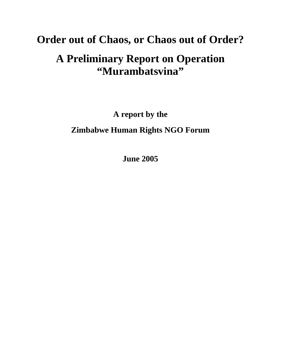# **Order out of Chaos, or Chaos out of Order? A Preliminary Report on Operation "Murambatsvina"**

**A report by the**

**Zimbabwe Human Rights NGO Forum**

**June 2005**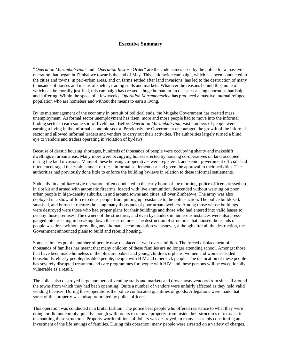# **Executive Summary**

"*Operation Murambatsvina*" and "*Operation Restore Order*" are the code names used by the police for a massive operation that began in Zimbabwe towards the end of May. This nationwide campaign, which has been conducted in the cities and towns, in peri-urban areas, and on farms settled after land invasions, has led to the destruction of many thousands of houses and means of shelter, trading stalls and markets. Whatever the reasons behind this, none of which can be morally justified, this campaign has created a huge humanitarian disaster causing enormous hardship and suffering. Within the space of a few weeks, *Operation Murambatsvina* has produced a massive internal refugee population who are homeless and without the means to earn a living.

By its mismanagement of the economy in pursuit of political ends, the Mugabe Government has created mass unemployment. As formal sector unemployment has risen, more and more people had to move into the informal trading sector to earn some sort of livelihood. Before *Operation Murambatsvina,* vast numbers of people were earning a living in the informal economic sector. Previously the Government encouraged the growth of the informal sector and allowed informal traders and vendors to carry out their activities. The authorities largely turned a blind eye to vendors and traders operating in violation of by-laws.

Because of drastic housing shortages, hundreds of thousands of people were occupying shanty and makeshift dwellings in urban areas. Many more were occupying houses erected by housing co-operatives on land occupied during the land invasions. Many of these housing co-operatives were registered, and senior government officials had often encouraged the establishment of these informal settlements or had given the approval to their activities. The authorities had previously done little to enforce the building by-laws in relation to these informal settlements.

Suddenly, in a military style operation, often conducted in the early hours of the morning, police officers dressed up in riot kit and armed with automatic firearms, loaded with live ammunition, descended without warning on poor urban people in high-density suburbs, in and around towns and cities, all over Zimbabwe. The army was also deployed in a show of force to deter people from putting up resistance to the police action. The police bulldozed, smashed, and burned structures housing many thousands of poor urban dwellers. Among those whose buildings were destroyed were those who had proper plans for their buildings and those who had entered into valid leases to occupy those premises. The owners of the structures, and even bystanders in numerous instances were also pressganged into assisting in breaking down these structures. The destruction of structures that housed thousands of people was done without providing any alternate accommodation whatsoever, although after all the destruction, the Government announced plans to build and rebuild housing.

Some estimates put the number of people now displaced at well over a million. The forced displacement of thousands of families has meant that many children of these families are no longer attending school. Amongst those that have been made homeless in the blitz are babies and young children, orphans, women and women-headed households, elderly people, disabled people, people with HIV and other sick people. The dislocation of these people has severely disrupted treatment and care programmes for people with HIV, and these persons will be exceptionally vulnerable as a result.

The police also destroyed large numbers of vending stalls and markets and drove away vendors from sites all around the towns from which they had been operating. Quite a number of vendors were unfairly affected as they held valid vending licenses. During these operations the police confiscated quantities of goods. Allegations were made that some of this property was misappropriated by police officers.

This operation was conducted in a brutal fashion. The police beat people who offered resistance to what they were doing, or did not comply quickly enough with orders to remove property from inside their structures or to assist in dismantling these structures. Property worth millions of dollars was destroyed, in many cases this constituting an investment of the life savings of families. During this operation, many people were arrested on a variety of charges.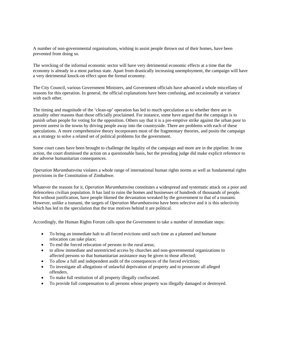A number of non-governmental organisations, wishing to assist people thrown out of their homes, have been prevented from doing so.

The wrecking of the informal economic sector will have very detrimental economic effects at a time that the economy is already in a most parlous state. Apart from drastically increasing unemployment, the campaign will have a very detrimental knock-on effect upon the formal economy.

The City Council, various Government Ministers, and Government officials have advanced a whole miscellany of reasons for this operation. In general, the official explanations have been confusing, and occasionally at variance with each other.

The timing and magnitude of the 'clean-up' operation has led to much speculation as to whether there are in actuality other reasons than those officially proclaimed. For instance, some have argued that the campaign is to punish urban people for voting for the opposition. Others say that it is a pre-emptive strike against the urban poor to prevent unrest in the towns by driving people away into the countryside. There are problems with each of these speculations. A more comprehensive theory incorporates most of the fragmentary theories, and posits the campaign as a strategy to solve a related set of political problems for the government.

Some court cases have been brought to challenge the legality of the campaign and more are in the pipeline. In one action, the court dismissed the action on a questionable basis, but the presiding judge did make explicit reference to the adverse humanitarian consequences.

*Operation Murambatsvina* violates a whole range of international human rights norms as well as fundamental rights provisions in the Constitution of Zimbabwe.

Whatever the reasons for it, *Operation Murambatsvina* constitutes a widespread and systematic attack on a poor and defenceless civilian population. It has laid to ruins the homes and businesses of hundreds of thousands of people. Not without justification, have people likened the devastation wreaked by the government to that of a tsunami. However, unlike a tsunami, the targets of *Operation Murambatsvina* have been selective and it is this selectivity which has led to the speculation that the true motives behind it are political.

Accordingly, the Human Rights Forum calls upon the Government to take a number of immediate steps:

- To bring an immediate halt to all forced evictions until such time as a planned and humane relocation can take place;
- To end the forced relocation of persons to the rural areas;
- to allow immediate and unrestricted access by churches and non-governmental organizations to affected persons so that humanitarian assistance may be given to those affected;
- To allow a full and independent audit of the consequences of the forced evictions;
- To investigate all allegations of unlawful deprivation of property and to prosecute all alleged offenders.
- To make full restitution of all property illegally confiscated.
- To provide full compensation to all persons whose property was illegally damaged or destroyed.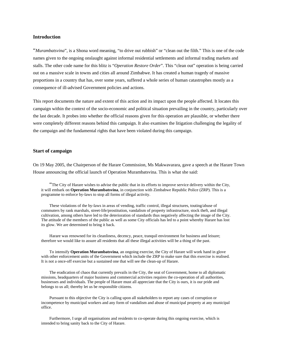### **Introduction**

"*Murambatsvina*", is a Shona word meaning, "to drive out rubbish" or "clean out the filth." This is one of the code names given to the ongoing onslaught against informal residential settlements and informal trading markets and stalls. The other code name for this blitz is "*Operation Restore Order*". This "clean out" operation is being carried out on a massive scale in towns and cities all around Zimbabwe. It has created a human tragedy of massive proportions in a country that has, over some years, suffered a whole series of human catastrophes mostly as a consequence of ill-advised Government policies and actions.

This report documents the nature and extent of this action and its impact upon the people affected. It locates this campaign within the context of the socio-economic and political situation prevailing in the country, particularly over the last decade. It probes into whether the official reasons given for this operation are plausible, or whether there were completely different reasons behind this campaign. It also examines the litigation challenging the legality of the campaign and the fundamental rights that have been violated during this campaign.

# **Start of campaign**

On 19 May 2005, the Chairperson of the Harare Commission, Ms Makwavarara, gave a speech at the Harare Town House announcing the official launch of Operation Murambatsvina. This is what she said:

"The City of Harare wishes to advise the public that in its efforts to improve service delivery within the City, it will embark on **Operation Murambatsvina**, in conjunction with Zimbabwe Republic Police (ZRP). This is a programme to enforce by-laws to stop all forms of illegal activity.

These violations of the by-laws in areas of vending, traffic control, illegal structures, touting/abuse of commuters by rank marshals, street-life/prostitution, vandalism of property infrastructure, stock theft, and illegal cultivation, among others have led to the deterioration of standards thus negatively affecting the image of the City. The attitude of the members of the public as well as some City officials has led to a point whereby Harare has lost its glow. We are determined to bring it back.

Harare was renowned for its cleanliness, decency, peace, tranquil environment for business and leisure; therefore we would like to assure all residents that all these illegal activities will be a thing of the past.

To intensify **Operation Murambatsvina**, an ongoing exercise, the City of Harare will work hand in glove with other enforcement units of the Government which include the ZRP to make sure that this exercise is realised. It is not a once-off exercise but a sustained one that will see the clean-up of Harare.

The eradication of chaos that currently prevails in the City, the seat of Government, home to all diplomatic missions, headquarters of major business and commercial activities requires the co-operation of all authorities, businesses and individuals. The people of Harare must all appreciate that the City is ours, it is our pride and belongs to us all; thereby let us be responsible citizens.

Pursuant to this objective the City is calling upon all stakeholders to report any cases of corruption or incompetence by municipal workers and any form of vandalism and abuse of municipal property at any municipal office.

Furthermore, I urge all organisations and residents to co-operate during this ongoing exercise, which is intended to bring sanity back to the City of Harare.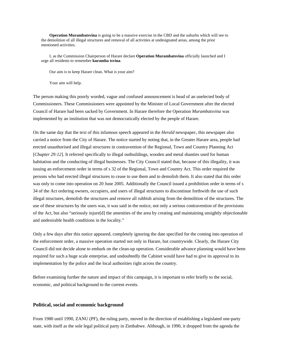**Operation Murambatsvina** is going to be a massive exercise in the CBD and the suburbs which will see to the demolition of all illegal structures and removal of all activities at undesignated areas, among the prior mentioned activities.

I, as the Commission Chairperson of Harare declare **Operation Murambatsvina** officially launched and I urge all residents to remember **kuramba tsvina**.

Our aim is to keep Harare clean. What is your aim?

Your aim will help.

The person making this poorly worded, vague and confused announcement is head of an unelected body of Commissioners. These Commissioners were appointed by the Minister of Local Government after the elected Council of Harare had been sacked by Government. In Harare therefore the Operation *Murambatsvina* was implemented by an institution that was not democratically elected by the people of Harare.

On the same day that the text of this infamous speech appeared in the *Herald* newspaper, this newspaper also carried a notice from the City of Harare. The notice started by noting that, in the Greater Harare area, people had erected unauthorised and illegal structures in contravention of the Regional, Town and Country Planning Act [*Chapter 29:12*]. It referred specifically to illegal outbuildings, wooden and metal shanties used for human habitation and the conducting of illegal businesses. The City Council stated that, because of this illegality, it was issuing an enforcement order in terms of s 32 of the Regional, Town and Country Act. This order required the persons who had erected illegal structures to cease to use them and to demolish them. It also stated that this order was only to come into operation on 20 June 2005. Additionally the Council issued a prohibition order in terms of s 34 of the Act ordering owners, occupiers, and users of illegal structures to discontinue forthwith the use of such illegal structures, demolish the structures and remove all rubbish arising from the demolition of the structures. The use of these structures by the users was, it was said in the notice, not only a serious contravention of the provisions of the Act, but also "seriously injure[d] the amenities of the area by creating and maintaining unsightly objectionable and undesirable health conditions in the locality."

Only a few days after this notice appeared, completely ignoring the date specified for the coming into operation of the enforcement order, a massive operation started not only in Harare, but countrywide. Clearly, the Harare City Council did not decide alone to embark on the clean-up operation. Considerable advance planning would have been required for such a huge scale enterprise, and undoubtedly the Cabinet would have had to give its approval to its implementation by the police and the local authorities right across the country.

Before examining further the nature and impact of this campaign, it is important to refer briefly to the social, economic, and political background to the current events.

# **Political, social and economic background**

From 1980 until 1990, ZANU (PF), the ruling party, moved in the direction of establishing a legislated one-party state, with itself as the sole legal political party in Zimbabwe. Although, in 1990, it dropped from the agenda the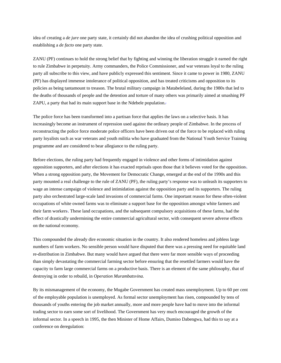idea of creating a *de jure* one party state, it certainly did not abandon the idea of crushing political opposition and establishing a *de facto* one party state.

ZANU (PF) continues to hold the strong belief that by fighting and winning the liberation struggle it earned the right to rule Zimbabwe in perpetuity. Army commanders, the Police Commissioner, and war veterans loyal to the ruling party all subscribe to this view, and have publicly expressed this sentiment. Since it came to power in 1980, ZANU (PF) has displayed immense intolerance of political opposition, and has treated criticisms and opposition to its policies as being tantamount to treason. The brutal military campaign in Matabeleland, during the 1980s that led to the deaths of thousands of people and the detention and torture of many others was primarily aimed at smashing PF ZAPU, a party that had its main support base in the Ndebele population.<sup>2</sup>

The police force has been transformed into a partisan force that applies the laws on a selective basis. It has increasingly become an instrument of repression used against the ordinary people of Zimbabwe. In the process of reconstructing the police force moderate police officers have been driven out of the force to be replaced with ruling party loyalists such as war veterans and youth militia who have graduated from the National Youth Service Training programme and are considered to bear allegiance to the ruling party.

Before elections, the ruling party had frequently engaged in violence and other forms of intimidation against opposition supporters, and after elections it has exacted reprisals upon those that it believes voted for the opposition. When a strong opposition party, the Movement for Democratic Change, emerged at the end of the 1990s and this party mounted a real challenge to the rule of ZANU (PF), the ruling party's response was to unleash its supporters to wage an intense campaign of violence and intimidation against the opposition party and its supporters. The ruling party also orchestrated large-scale land invasions of commercial farms. One important reason for these often-violent occupations of white owned farms was to eliminate a support base for the opposition amongst white farmers and their farm workers. These land occupations, and the subsequent compulsory acquisitions of these farms, had the effect of drastically undermining the entire commercial agricultural sector, with consequent severe adverse effects on the national economy.

This compounded the already dire economic situation in the country. It also rendered homeless and jobless large numbers of farm workers. No sensible person would have disputed that there was a pressing need for equitable land re-distribution in Zimbabwe. But many would have argued that there were far more sensible ways of proceeding than simply devastating the commercial farming sector before ensuring that the resettled farmers would have the capacity to farm large commercial farms on a productive basis. There is an element of the same philosophy, that of destroying in order to rebuild, in *Operation Murambatsvina.*

By its mismanagement of the economy, the Mugabe Government has created mass unemployment. Up to 60 per cent of the employable population is unemployed. As formal sector unemployment has risen, compounded by tens of thousands of youths entering the job market annually, more and more people have had to move into the informal trading sector to earn some sort of livelihood. The Government has very much encouraged the growth of the informal sector. In a speech in 1995, the then Minister of Home Affairs, Dumiso Dabengwa, had this to say at a conference on deregulation: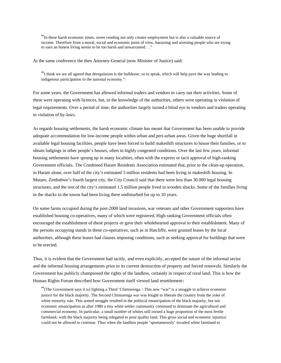"In these harsh economic times, street vending not only creates employment but is also a valuable source of income. Therefore from a moral, social and economic point of view, harassing and arresting people who are trying to earn an honest living seems to be too harsh and unwarranted...'

At the same conference the then Attorney-General (now Minister of Justice) said:

"I think we are all agreed that deregulation is the bulldozer, so to speak, which will help pave the way leading to indigenous participation in the national economy."<sup>5</sup>

For some years, the Government has allowed informal traders and vendors to carry out their activities. Some of these were operating with licences, but, to the knowledge of the authorities, others were operating in violation of legal requirements. Over a period of time, the authorities largely turned a blind eye to vendors and traders operating in violation of by-laws.

As regards housing settlements, the harsh economic climate has meant that Government has been unable to provide adequate accommodation for low-income people within urban and peri-urban areas. Given the huge shortfall in available legal housing facilities, people have been forced to build makeshift structures to house their families, or to obtain lodgings in other people's houses, often in highly congested conditions. Over the last few years, informal housing settlements have sprung up in many localities, often with the express or tacit approval of high-ranking Government officials The Combined Harare Residents Association estimated that, prior to the clean-up operation, in Harare alone, over half of the city's estimated 3 million residents had been living in makeshift housing. In Mutare, Zimbabwe's fourth largest city, the City Council said that there were less than 30 000 legal housing structures, and the rest of the city's estimated 1.5 million people lived in wooden shacks. Some of the families living in the shacks in the towns had been living there undisturbed for up to 10 years.

On some farms occupied during the post-2000 land invasions, war veterans and other Government supporters have established housing co-operatives, many of which were registered. High ranking Government officials often encouraged the establishment of these projects or gave their wholehearted approval to their establishment. Many of the persons occupying stands in these co-operatives, such as in Hatcliffe, were granted leases by the local authorities, although these leases had clauses imposing conditions, such as seeking approval for buildings that were to be erected.

Thus, it is evident that the Government had tacitly, and even explicitly, accepted the nature of the informal sector and the informal housing arrangements prior to its current destruction of property and forced removals. Similarly the Government has publicly championed the rights of the landless, certainly in respect of rural land. This is how the Human Rights Forum described how Government itself viewed land resettlement:

"[The Government says it is] fighting a Third 'Chimurenga.' This new "war" is a struggle to achieve economic justice for the black majority. The Second Chimurenga war was fought to liberate the country from the yoke of white minority rule. This armed struggle resulted in the political emancipation of the black majority, but not economic emancipation as after 1980 a tiny white settler community continued to dominate the agricultural and commercial economy. In particular, a small number of whites still owned a huge proportion of the most fertile farmland,<sup>*w*</sup> with the black majority being relegated to poor quality land. This gross social and economic injustice could not be allowed to continue. Thus when the landless people 'spontaneously' invaded white farmland to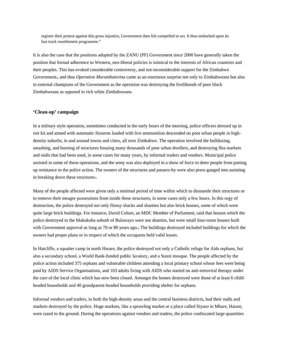register their protest against this gross injustice, Government then felt compelled to act. It thus embarked upon its fast track resettlement programme."

It is also the case that the positions adopted by the ZANU (PF) Government since 2000 have generally taken the position that formal adherence to Western, neo-liberal policies is inimical to the interests of African countries and their peoples. This has evoked considerable controversy, and not-inconsiderable support for the Zimbabwe Government<sub>®</sub>, and thus *Operation Murambatsvina* came as an enormous surprise not only to Zimbabweans but also to external champions of the Government as the operation was destroying the livelihoods of poor black Zimbabweans as opposed to rich white Zimbabweans.

# **'Clean-up' campaign**

In a military style operation, sometimes conducted in the early hours of the morning, police officers dressed up in riot kit and armed with automatic firearms loaded with live ammunition descended on poor urban people in highdensity suburbs, in and around towns and cities, all over Zimbabwe. The operation involved the bulldozing, smashing, and burning of structures housing many thousands of poor urban dwellers, and destroying flea markets and stalls that had been used, in some cases for many years, by informal traders and vendors. Municipal police assisted in some of these operations, and the army was also deployed in a show of force to deter people from putting up resistance to the police action. The owners of the structures and passers-by were also press-ganged into assisting in breaking down these structures<sup>11</sup>.

Many of the people affected were given only a minimal period of time within which to dismantle their structures or to remove their meagre possessions from inside these structures, in some cases only a few hours. In this orgy of destruction, the police destroyed not only flimsy shacks and shanties but also brick houses, some of which were quite large brick buildings. For instance, David Coltart, an MDC Member of Parliament, said that houses which the police destroyed in the Makokoba suburb of Bulawayo were not shanties, but were small four-room houses built with Government approval as long as 70 or 80 years ago.<sup>1</sup> The buildings destroyed included buildings for which the owners had proper plans or in respect of which the occupants held valid leases.

In Hatcliffe, a squatter camp in north Harare, the police destroyed not only a Catholic refuge for Aids orphans, but also a secondary school, a World Bank-funded public lavatory, and a Sunni mosque. The people affected by the police action included 375 orphans and vulnerable children attending a local primary school whose fees were being paid by AIDS Service Organisations, and 103 adults living with AIDS who started on anti-retroviral therapy under the care of the local clinic which has now been closed. Amongst the homes destroyed were those of at least 6 childheaded households and 40 grandparent-headed households providing shelter for orphans.

Informal vendors and traders, in both the high-density areas and the central business districts, had their stalls and markets destroyed by the police. Huge markets, like a sprawling market at a place called Siyaso in Mbare, Harare, were razed to the ground. During the operations against vendors and traders, the police confiscated large quantities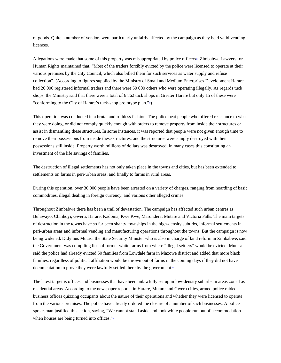of goods. Quite a number of vendors were particularly unfairly affected by the campaign as they held valid vending licences.

Allegations were made that some of this property was misappropriated by police officers<sup>n</sup>. Zimbabwe Lawyers for Human Rights maintained that, "Most of the traders forcibly evicted by the police were licensed to operate at their various premises by the City Council, which also billed them for such services as water supply and refuse collection". (According to figures supplied by the Ministry of Small and Medium Enterprises Development Harare had 20 000 registered informal traders and there were 50 000 others who were operating illegally. As regards tuck shops, the Ministry said that there were a total of 6 862 tuck shops in Greater Harare but only 15 of these were "conforming to the City of Harare's tuck-shop prototype plan." $\Box$ )

This operation was conducted in a brutal and ruthless fashion. The police beat people who offered resistance to what they were doing, or did not comply quickly enough with orders to remove property from inside their structures or assist in dismantling these structures. In some instances, it was reported that people were not given enough time to remove their possessions from inside these structures, and the structures were simply destroyed with their possessions still inside. Property worth millions of dollars was destroyed, in many cases this constituting an investment of the life savings of families.

The destruction of illegal settlements has not only taken place in the towns and cities, but has been extended to settlements on farms in peri-urban areas, and finally to farms in rural areas.

During this operation, over 30 000 people have been arrested on a variety of charges, ranging from hoarding of basic commodities, illegal dealing in foreign currency, and various other alleged crimes.

Throughout Zimbabwe there has been a trail of devastation. The campaign has affected such urban centres as Bulawayo, Chinhoyi, Gweru, Harare, Kadoma, Kwe Kwe, Marondera, Mutare and Victoria Falls. The main targets of destruction in the towns have so far been shanty townships in the high-density suburbs, informal settlements in peri-urban areas and informal vending and manufacturing operations throughout the towns. But the campaign is now being widened. Didymus Mutasa the State Security Minister who is also in charge of land reform in Zimbabwe, said the Government was compiling lists of former white farms from where "illegal settlers" would be evicted. Mutasa said the police had already evicted 50 families from Lowdale farm in Mazowe district and added that more black families, regardless of political affiliation would be thrown out of farms in the coming days if they did not have documentation to prove they were lawfully settled there by the government.15

The latest target is offices and businesses that have been unlawfully set up in low-density suburbs in areas zoned as residential areas. According to the newspaper reports, in Harare, Mutare and Gweru cities, armed police raided business offices quizzing occupants about the nature of their operations and whether they were licensed to operate from the various premises. The police have already ordered the closure of a number of such businesses. A police spokesman justified this action, saying, "We cannot stand aside and look while people run out of accommodation when houses are being turned into offices." $\frac{1}{6}$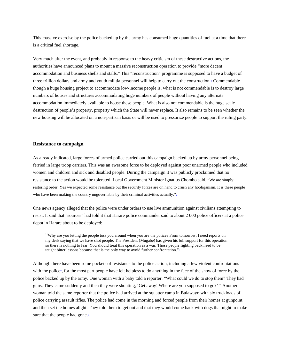This massive exercise by the police backed up by the army has consumed huge quantities of fuel at a time that there is a critical fuel shortage.

Very much after the event, and probably in response to the heavy criticism of these destructive actions, the authorities have announced plans to mount a massive reconstruction operation to provide "more decent accommodation and business shells and stalls." This "reconstruction" programme is supposed to have a budget of three trillion dollars and army and youth militia personnel will help to carry out the construction.<sup>¤</sup> Commendable though a huge housing project to accommodate low-income people is, what is not commendable is to destroy large numbers of houses and structures accommodating huge numbers of people without having any alternate accommodation immediately available to house these people. What is also not commendable is the huge scale destruction of people's property, property which the State will never replace. It also remains to be seen whether the new housing will be allocated on a non-partisan basis or will be used to pressurize people to support the ruling party.

#### **Resistance to campaign**

As already indicated, large forces of armed police carried out this campaign backed up by army personnel being ferried in large troop carriers. This was an awesome force to be deployed against poor unarmed people who included women and children and sick and disabled people. During the campaign it was publicly proclaimed that no resistance to the action would be tolerated. Local Government Minister Ignatius Chombo said, "We are simply restoring order. Yes we expected some resistance but the security forces are on hand to crush any hooliganism. It is these people who have been making the country ungovernable by their criminal activities actually."<sup>8</sup>

One news agency alleged that the police were under orders to use live ammunition against civilians attempting to resist. It said that "sources" had told it that Harare police commander said to about 2 000 police officers at a police depot in Harare about to be deployed:

"Why are you letting the people toss you around when you are the police? From tomorrow, I need reports on my desk saying that we have shot people. The President (Mugabe) has given his full support for this operation so there is nothing to fear. You should treat this operation as a war. Those people fighting back need to be taught bitter lessons because that is the only way to avoid further confrontation."<sup>9</sup>

Although there have been some pockets of resistance to the police action, including a few violent confrontations with the police», for the most part people have felt helpless to do anything in the face of the show of force by the police backed up by the army. One woman with a baby told a reporter: "What could we do to stop them? They had guns. They came suddenly and then they were shouting, 'Get away! Where are you supposed to go?' " Another woman told the same reporter that the police had arrived at the squatter camp in Bulawayo with six truckloads of police carrying assault rifles. The police had come in the morning and forced people from their homes at gunpoint and then set the homes alight. They told them to get out and that they would come back with dogs that night to make sure that the people had gone.<sup>21</sup>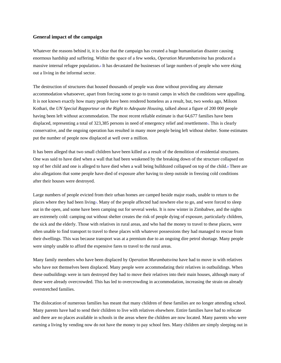## **General impact of the campaign**

Whatever the reasons behind it, it is clear that the campaign has created a huge humanitarian disaster causing enormous hardship and suffering. Within the space of a few weeks, *Operation Murambatsvina* has produced a massive internal refugee population.22 It has devastated the businesses of large numbers of people who were eking out a living in the informal sector.

The destruction of structures that housed thousands of people was done without providing any alternate accommodation whatsoever, apart from forcing some to go to transit camps in which the conditions were appalling. It is not known exactly how many people have been rendered homeless as a result, but, two weeks ago, Miloon Kothari, the *UN Special Rapporteur on the Right to Adequate Housing*, talked about a figure of 200 000 people having been left without accommodation. The most recent reliable estimate is that 64,677 families have been displaced, representing a total of  $323,385$  persons in need of emergency relief and resettlement<sup> $\pm$ </sup>. This is clearly conservative, and the ongoing operation has resulted in many more people being left without shelter. Some estimates put the number of people now displaced at well over a million.

It has been alleged that two small children have been killed as a result of the demolition of residential structures. One was said to have died when a wall that had been weakened by the breaking down of the structure collapsed on top of her child and one is alleged to have died when a wall being bulldozed collapsed on top of the child.<sup>¤</sup> There are also allegations that some people have died of exposure after having to sleep outside in freezing cold conditions after their houses were destroyed.

Large numbers of people evicted from their urban homes are camped beside major roads, unable to return to the places where they had been living<sup>1</sup>. Many of the people affected had nowhere else to go, and were forced to sleep out in the open, and some have been camping out for several weeks. It is now winter in Zimbabwe, and the nights are extremely cold: camping out without shelter creates the risk of people dying of exposure, particularly children, the sick and the elderly. Those with relatives in rural areas, and who had the money to travel to these places, were often unable to find transport to travel to these places with whatever possessions they had managed to rescue from their dwellings. This was because transport was at a premium due to an ongoing dire petrol shortage. Many people were simply unable to afford the expensive fares to travel to the rural areas.

Many family members who have been displaced by *Operation Murambatsvina* have had to move in with relatives who have not themselves been displaced. Many people were accommodating their relatives in outbuildings. When these outbuildings were in turn destroyed they had to move their relatives into their main houses, although many of these were already overcrowded. This has led to overcrowding in accommodation, increasing the strain on already overstretched families.

The dislocation of numerous families has meant that many children of these families are no longer attending school. Many parents have had to send their children to live with relatives elsewhere. Entire families have had to relocate and there are no places available in schools in the areas where the children are now located. Many parents who were earning a living by vending now do not have the money to pay school fees. Many children are simply sleeping out in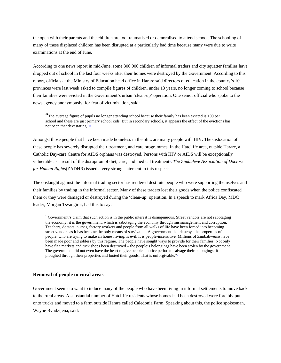the open with their parents and the children are too traumatised or demoralised to attend school. The schooling of many of these displaced children has been disrupted at a particularly bad time because many were due to write examinations at the end of June.

According to one news report in mid-June, some 300 000 children of informal traders and city squatter families have dropped out of school in the last four weeks after their homes were destroyed by the Government. According to this report, officials at the Ministry of Education head office in Harare said directors of education in the country's 10 provinces were last week asked to compile figures of children, under 13 years, no longer coming to school because their families were evicted in the Government's urban 'clean-up' operation. One senior official who spoke to the news agency anonymously, for fear of victimization, said:

"The average figure of pupils no longer attending school because their family has been evicted is 100 per school and these are just primary school kids. But in secondary schools, it appears the effect of the evictions has not been that devastating."<sup>26</sup>

Amongst those people that have been made homeless in the blitz are many people with HIV. The dislocation of these people has severely disrupted their treatment, and care programmes. In the Hatcliffe area, outside Harare, a Catholic Day-care Centre for AIDS orphans was destroyed. Persons with HIV or AIDS will be exceptionally vulnerable as a result of the disruption of diet, care, and medical treatment<sup>2</sup>. *The Zimbabwe Association of Doctors for Human Rights*(ZADHR) issued a very strong statement in this respect<sup>®</sup>.

The onslaught against the informal trading sector has rendered destitute people who were supporting themselves and their families by trading in the informal sector. Many of these traders lost their goods when the police confiscated them or they were damaged or destroyed during the 'clean-up' operation. In a speech to mark Africa Day, MDC leader, Morgan Tsvangirai, had this to say:

"Government's claim that such action is in the public interest is disingenuous. Street vendors are not sabotaging the economy; it is the government, which is sabotaging the economy through mismanagement and corruption. Teachers, doctors, nurses, factory workers and people from all walks of life have been forced into becoming street vendors as it has become the only means of survival. . . A government that destroys the properties of people, who are trying to make an honest living, is evil. It is people-insensitive. Millions of Zimbabweans have been made poor and jobless by this regime. The people have sought ways to provide for their families. Not only have flea markets and tuck shops been destroyed – the people's belongings have been stolen by the government. The government did not even have the heart to give people a notice period to salvage their belongings; it ploughed through their properties and looted their goods. That is unforgivable." $\triangleq$ 

# **Removal of people to rural areas**

Government seems to want to induce many of the people who have been living in informal settlements to move back to the rural areas. A substantial number of Hatcliffe residents whose homes had been destroyed were forcibly put onto trucks and moved to a farm outside Harare called Caledonia Farm. Speaking about this, the police spokesman, Wayne Bvudzijena, said: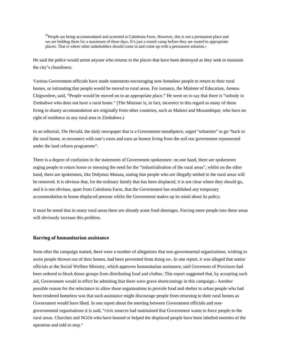"People are being accommodated and screened at Caledonia Farm. However, this is not a permanent place and we are holding them for a maximum of three days. It's just a transit camp before they are routed to appropriate places. That is where other stakeholders should come in and come up with a permanent solution. $\bullet$ 

He said the police would arrest anyone who returns to the places that have been destroyed as they seek to maintain the city's cleanliness.

Various Government officials have made statements encouraging now homeless people to return to their rural homes, or intimating that people would be moved to rural areas. For instance, the Minister of Education, Aeneas Chigwedere, said, "People would be moved on to an appropriate place." He went on to say that there is "nobody in Zimbabwe who does not have a rural home." (The Minister is, in fact, incorrect in this regard as many of those living in shanty accommodation are originally from other countries, such as Malawi and Mozambique, who have no right of residence in any rural area in Zimbabwe.)

In an editorial, *The Herald*, the daily newspaper that is a Government mouthpiece, urged "urbanites" to go "back to the rural home, to reconnect with one's roots and earn an honest living from the soil our government repossessed under the land reform programme".

There is a degree of confusion in the statements of Government spokesmen: on one hand, there are spokesmen urging people to return home or stressing the need for the "industrialisation of the rural areas", whilst on the other hand, there are spokesmen, like Didymus Mutasa, stating that people who are illegally settled in the rural areas will be removed. It is obvious that, for the ordinary family that has been displaced, it is not clear where they should go, and it is not obvious, apart from Caledonia Farm, that the Government has established any temporary accommodation to house displaced persons whilst the Government makes up its mind about its policy.

It must be noted that in many rural areas there are already acute food shortages. Forcing more people into these areas will obviously increase this problem.

#### **Barring of humanitarian assistance**

Soon after the campaign started, there were a number of allegations that non-governmental organisations, wishing to assist people thrown out of their homes, had been prevented from doing so<sup>3</sup>. In one report, it was alleged that senior officials at the Social Welfare Ministry, which approves humanitarian assistance, said Governors of Provinces had been ordered to block donor groups from distributing food and clothes. This report suggested that, by accepting such aid, Government would in effect be admitting that there were grave shortcomings in this campaign.<sup>2</sup> Another possible reason for the reluctance to allow these organisations to provide food and shelter to urban people who had been rendered homeless was that such assistance might discourage people from returning to their rural homes as Government would have liked. In one report about the meeting between Government officials and nongovernmental organisations it is said, "civic sources had maintained that Government wants to force people to the rural areas. Churches and NGOs who have housed or helped the displaced people have been labelled enemies of the operation and told to stop."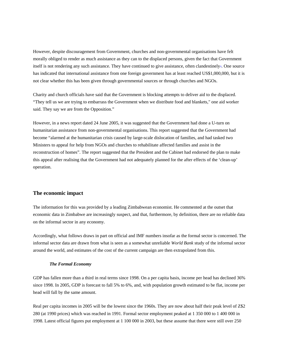However, despite discouragement from Government, churches and non-governmental organisations have felt morally obliged to render as much assistance as they can to the displaced persons, given the fact that Government itself is not rendering any such assistance. They have continued to give assistance, often clandestinely=. One source has indicated that international assistance from one foreign government has at least reached US\$1,000,000, but it is not clear whether this has been given through governmental sources or through churches and NGOs.

Charity and church officials have said that the Government is blocking attempts to deliver aid to the displaced. "They tell us we are trying to embarrass the Government when we distribute food and blankets," one aid worker said. They say we are from the Opposition."

However, in a news report dated 24 June 2005, it was suggested that the Government had done a U-turn on humanitarian assistance from non-governmental organisations. This report suggested that the Government had become "alarmed at the humanitarian crisis caused by large-scale dislocation of families, and had tasked two Ministers to appeal for help from NGOs and churches to rehabilitate affected families and assist in the reconstruction of homes". The report suggested that the President and the Cabinet had endorsed the plan to make this appeal after realising that the Government had not adequately planned for the after effects of the 'clean-up' operation.

# **The economic impact**

The information for this was provided by a leading Zimbabwean economist. He commented at the outset that economic data in Zimbabwe are increasingly suspect, and that, furthermore, by definition, there are no reliable data on the informal sector in any economy.

Accordingly, what follows draws in part on official and IMF numbers insofar as the formal sector is concerned. The informal sector data are drawn from what is seen as a somewhat unreliable *World Bank* study of the informal sector around the world, and estimates of the cost of the current campaign are then extrapolated from this.

### *The Formal Economy*

GDP has fallen more than a third in real terms since 1998. On a per capita basis, income per head has declined 36% since 1998. In 2005, GDP is forecast to fall 5% to 6%, and, with population growth estimated to be flat, income per head will fall by the same amount.

Real per capita incomes in 2005 will be the lowest since the 1960s. They are now about half their peak level of  $Z$2$ 280 (at 1990 prices) which was reached in 1991. Formal sector employment peaked at 1 350 000 to 1 400 000 in 1998. Latest official figures put employment at 1 100 000 in 2003, but these assume that there were still over 250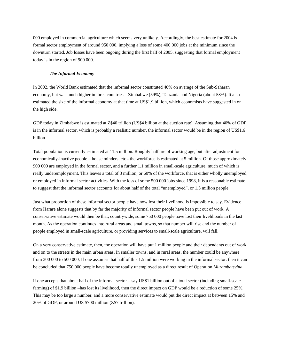000 employed in commercial agriculture which seems very unlikely. Accordingly, the best estimate for 2004 is formal sector employment of around 950 000, implying a loss of some 400 000 jobs at the minimum since the downturn started. Job losses have been ongoing during the first half of 2005, suggesting that formal employment today is in the region of 900 000.

#### *The Informal Economy*

In 2002, the World Bank estimated that the informal sector constituted 40% on average of the Sub-Saharan economy, but was much higher in three countries – Zimbabwe (59%), Tanzania and Nigeria (about 58%). It also estimated the size of the informal economy at that time at US\$1.9 billion, which economists have suggested in on the high side.

GDP today in Zimbabwe is estimated at Z\$40 trillion (US\$4 billion at the auction rate). Assuming that 40% of GDP is in the informal sector, which is probably a realistic number, the informal sector would be in the region of US\$1.6 billion.

Total population is currently estimated at 11.5 million. Roughly half are of working age, but after adjustment for economically-inactive people – house minders, etc - the workforce is estimated at 5 million. Of those approximately 900 000 are employed in the formal sector, and a further 1.1 million in small-scale agriculture, much of which is really underemployment. This leaves a total of 3 million, or 60% of the workforce, that is either wholly unemployed, or employed in informal sector activities. With the loss of some 500 000 jobs since 1998, it is a reasonable estimate to suggest that the informal sector accounts for about half of the total "unemployed", or 1.5 million people.

Just what proportion of these informal sector people have now lost their livelihood is impossible to say. Evidence from Harare alone suggests that by far the majority of informal sector people have been put out of work. A conservative estimate would then be that, countrywide, some 750 000 people have lost their livelihoods in the last month. As the operation continues into rural areas and small towns, so that number will rise and the number of people employed in small-scale agriculture, or providing services to small-scale agriculture, will fall.

On a very conservative estimate, then, the operation will have put 1 million people and their dependants out of work and on to the streets in the main urban areas. In smaller towns, and in rural areas, the number could be anywhere from 300 000 to 500 000, If one assumes that half of this 1.5 million were working in the informal sector, then it can be concluded that 750 000 people have become totally unemployed as a direct result of Operation *Murambatsvina*.

If one accepts that about half of the informal sector – say US\$1 billion out of a total sector (including small-scale farming) of \$1.9 billion –has lost its livelihood, then the direct impact on GDP would be a reduction of some 25%. This may be too large a number, and a more conservative estimate would put the direct impact at between 15% and 20% of GDP, or around US \$700 million (Z\$7 trillion).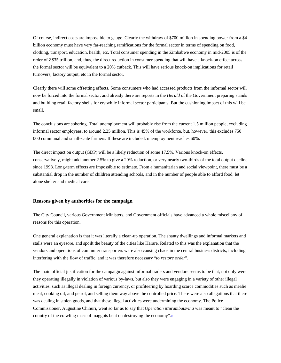Of course, indirect costs are impossible to gauge. Clearly the withdraw of \$700 million in spending power from a \$4 billion economy must have very far-reaching ramifications for the formal sector in terms of spending on food, clothing, transport, education, health, etc. Total consumer spending in the Zimbabwe economy in mid-2005 is of the order of Z\$35 trillion, and, thus, the direct reduction in consumer spending that will have a knock-on effect across the formal sector will be equivalent to a 20% cutback. This will have serious knock-on implications for retail turnovers, factory output, etc in the formal sector.

Clearly there will some offsetting effects. Some consumers who had accessed products from the informal sector will now be forced into the formal sector, and already there are reports in the *Herald* of the Government preparing stands and building retail factory shells for erstwhile informal sector participants. But the cushioning impact of this will be small.

The conclusions are sobering. Total unemployment will probably rise from the current 1.5 million people, excluding informal sector employees, to around 2.25 million. This is 45% of the workforce, but, however, this excludes 750 000 communal and small-scale farmers. If these are included, unemployment reaches 60%.

The direct impact on output (GDP) will be a likely reduction of some 17.5%. Various knock-on effects, conservatively, might add another 2.5% to give a 20% reduction, or very nearly two-thirds of the total output decline since 1998. Long-term effects are impossible to estimate. From a humanitarian and social viewpoint, there must be a substantial drop in the number of children attending schools, and in the number of people able to afford food, let alone shelter and medical care.

### **Reasons given by authorities for the campaign**

The City Council, various Government Ministers, and Government officials have advanced a whole miscellany of reasons for this operation.

One general explanation is that it was literally a clean-up operation. The shanty dwellings and informal markets and stalls were an eyesore, and spoilt the beauty of the cities like Harare. Related to this was the explanation that the vendors and operations of commuter transporters were also causing chaos in the central business districts, including interfering with the flow of traffic, and it was therefore necessary "*to restore order*".

The main official justification for the campaign against informal traders and vendors seems to be that, not only were they operating illegally in violation of various by-laws, but also they were engaging in a variety of other illegal activities, such as illegal dealing in foreign currency, or profiteering by hoarding scarce commodities such as mealie meal, cooking oil, and petrol, and selling them way above the controlled price. There were also allegations that there was dealing in stolen goods, and that these illegal activities were undermining the economy. The Police Commissioner, Augustine Chihuri, went so far as to say that *Operation Murambatsvina* was meant to "clean the country of the crawling mass of maggots bent on destroying the economy". $\triangleq$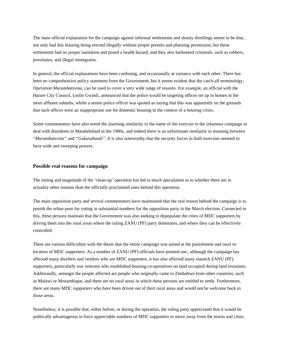The main official explanation for the campaign against informal settlements and shanty dwellings seems to be that, not only had this housing being erected illegally without proper permits and planning permission, but these settlements had no proper sanitation and posed a health hazard, and they also harboured criminals, such as robbers, prostitutes, and illegal immigrants.

In general, the official explanations have been confusing, and occasionally at variance with each other. There has been no comprehensive policy statement from the Government, but it seems evident that the catch-all terminology*, Operation Murambatsvina,* can be used to cover a very wide range of reasons. For example, an official with the Harare City Council, Leslie Gwindi, announced that the police would be targeting offices set up in homes in the more affluent suburbs, whilst a senior police officer was quoted as saying that this was apparently on the grounds that such offices were an inappropriate use for domestic housing in the context of a housing crisis=.

Some commentators have also noted the alarming similarity in the name of the exercise to the infamous campaign to deal with dissidents in Matabeleland in the 1980s, and indeed there is an unfortunate similarity in meaning between "*Murambatsvina"* and *"Gukurahundi"*. It is also noteworthy that the security forces in both exercises seemed to have wide and sweeping powers.

## **Possible real reasons for campaign**

The timing and magnitude of the 'clean-up' operation has led to much speculation as to whether there are in actuality other reasons than the officially proclaimed ones behind this operation.

The main opposition party and several commentators have maintained that the real reason behind the campaign is to punish the urban poor for voting in substantial numbers for the opposition party in the March election. Connected to this, these persons maintain that the Government was also seeking to depopulate the cities of MDC supporters by driving them into the rural areas where the ruling ZANU (PF) party dominates, and where they can be effectively controlled.

There are various difficulties with the thesis that the entire campaign was aimed at the punishment and rural relocation of MDC supporters. As a number of ZANU (PF) officials have pointed out», although the campaign has affected many dwellers and vendors who are MDC supporters, it has also affected many staunch ZANU (PF) supporters, particularly war veterans who established housing co-operatives on land occupied during land invasions. Additionally, amongst the people affected are people who originally came to Zimbabwe from other countries, such as Malawi or Mozambique, and there are no rural areas in which these persons are entitled to settle. Furthermore, there are many MDC supporters who have been driven out of their rural areas and would not be welcome back in those areas.

Nonetheless, it is possible that, either before, or during the operation, the ruling party appreciated that it would be politically advantageous to force appreciable numbers of MDC supporters to move away from the towns and cities.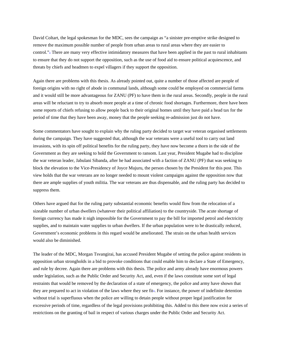David Coltart, the legal spokesman for the MDC, sees the campaign as "a sinister pre-emptive strike designed to remove the maximum possible number of people from urban areas to rural areas where they are easier to control."<sup>2</sup> There are many very effective intimidatory measures that have been applied in the past to rural inhabitants to ensure that they do not support the opposition, such as the use of food aid to ensure political acquiescence, and threats by chiefs and headmen to expel villagers if they support the opposition.

Again there are problems with this thesis. As already pointed out, quite a number of those affected are people of foreign origins with no right of abode in communal lands, although some could be employed on commercial farms and it would still be more advantageous for ZANU (PF) to have them in the rural areas. Secondly, people in the rural areas will be reluctant to try to absorb more people at a time of chronic food shortages. Furthermore, there have been some reports of chiefs refusing to allow people back to their original homes until they have paid a head tax for the period of time that they have been away, money that the people seeking re-admission just do not have.

Some commentators have sought to explain why the ruling party decided to target war veteran organised settlements during the campaign. They have suggested that, although the war veterans were a useful tool to carry out land invasions, with its spin off political benefits for the ruling party, they have now become a thorn in the side of the Government as they are seeking to hold the Government to ransom. Last year, President Mugabe had to discipline the war veteran leader, Jabulani Sibanda, after he had associated with a faction of ZANU (PF) that was seeking to block the elevation to the Vice-Presidency of Joyce Mujuru, the person chosen by the President for this post. This view holds that the war veterans are no longer needed to mount violent campaigns against the opposition now that there are ample supplies of youth militia. The war veterans are thus dispensable, and the ruling party has decided to suppress them.

Others have argued that for the ruling party substantial economic benefits would flow from the relocation of a sizeable number of urban dwellers (whatever their political affiliation) to the countryside. The acute shortage of foreign currency has made it nigh impossible for the Government to pay the bill for imported petrol and electricity supplies, and to maintain water supplies to urban dwellers. If the urban population were to be drastically reduced, Government's economic problems in this regard would be ameliorated. The strain on the urban health services would also be diminished.

The leader of the MDC, Morgan Tsvangirai, has accused President Mugabe of setting the police against residents in opposition urban strongholds in a bid to provoke conditions that could enable him to declare a State of Emergency, and rule by decree. Again there are problems with this thesis. The police and army already have enormous powers under legislation, such as the Public Order and Security Act, and, even if the laws constitute some sort of legal restraints that would be removed by the declaration of a state of emergency, the police and army have shown that they are prepared to act in violation of the laws where they see fit<sup>\*</sup>. For instance, the power of indefinite detention without trial is superfluous when the police are willing to detain people without proper legal justification for excessive periods of time, regardless of the legal provisions prohibiting this. Added to this there now exist a series of restrictions on the granting of bail in respect of various charges under the Public Order and Security Act.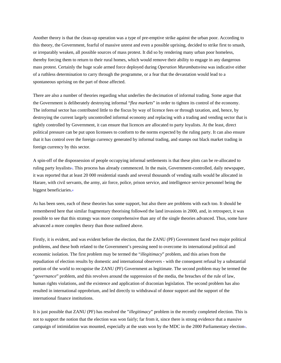Another theory is that the clean-up operation was a type of pre-emptive strike against the urban poor. According to this theory, the Government, fearful of massive unrest and even a possible uprising, decided to strike first to smash, or irreparably weaken, all possible sources of mass protest. It did so by rendering many urban poor homeless, thereby forcing them to return to their rural homes, which would remove their ability to engage in any dangerous mass protest. Certainly the huge scale armed force deployed during *Operation Murambatsvina* was indicative either of a ruthless determination to carry through the programme, or a fear that the devastation would lead to a spontaneous uprising on the part of those affected.

There are also a number of theories regarding what underlies the decimation of informal trading. Some argue that the Government is deliberately destroying informal "*flea markets*" in order to tighten its control of the economy. The informal sector has contributed little to the fiscus by way of licence fees or through taxation, and, hence, by destroying the current largely uncontrolled informal economy and replacing with a trading and vending sector that is tightly controlled by Government, it can ensure that licences are allocated to party loyalists. At the least, direct political pressure can be put upon licensees to conform to the norms expected by the ruling party. It can also ensure that it has control over the foreign currency generated by informal trading, and stamps out black market trading in foreign currency by this sector.

A spin-off of the dispossession of people occupying informal settlements is that these plots can be re-allocated to ruling party loyalists<sup>3</sup>. This process has already commenced. In the main, Government-controlled, daily newspaper, it was reported that at least 20 000 residential stands and several thousands of vending stalls would be allocated in Harare, with civil servants, the army, air force, police, prison service, and intelligence service personnel being the biggest beneficiaries. $\triangle$ 

As has been seen, each of these theories has some support, but also there are problems with each too. It should be remembered here that similar fragmentary theorising followed the land invasions in 2000, and, in retrospect, it was possible to see that this strategy was more comprehensive than any of the single theories advanced. Thus, some have advanced a more complex theory than those outlined above.

Firstly, it is evident, and was evident before the election, that the ZANU (PF) Government faced two major political problems, and these both related to the Government's pressing need to overcome its international political and economic isolation. The first problem may be termed the "*illegitimacy*" problem, and this arises from the repudiation of election results by domestic and international observers - with the consequent refusal by a substantial portion of the world to recognise the ZANU (PF) Government as legitimate. The second problem may be termed the "*governance*" problem, and this revolves around the suppression of the media, the breaches of the rule of law, human rights violations, and the existence and application of draconian legislation. The second problem has also resulted in international opprobrium, and led directly to withdrawal of donor support and the support of the international finance institutions.

It is just possible that ZANU (PF) has resolved the "*illegitimacy*" problem in the recently completed election. This is not to support the notion that the election was won fairly; far from it, since there is strong evidence that a massive campaign of intimidation was mounted, especially at the seats won by the MDC in the 2000 Parliamentary election<sub>4</sub>.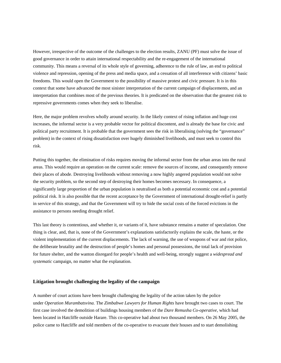However, irrespective of the outcome of the challenges to the election results, ZANU (PF) must solve the issue of good governance in order to attain international respectability and the re-engagement of the international community. This means a reversal of its whole style of governing, adherence to the rule of law, an end to political violence and repression, opening of the press and media space, and a cessation of all interference with citizens' basic freedoms. This would open the Government to the possibility of massive protest and civic pressure. It is in this context that some have advanced the most sinister interpretation of the current campaign of displacements, and an interpretation that combines most of the previous theories. It is predicated on the observation that the greatest risk to repressive governments comes when they seek to liberalise.

Here, the major problem revolves wholly around security. In the likely context of rising inflation and huge cost increases, the informal sector is a very probable vector for political discontent, and is already the base for civic and political party recruitment. It is probable that the government sees the risk in liberalising (solving the "governance" problem) in the context of rising dissatisfaction over hugely diminished livelihoods, and must seek to control this risk.

Putting this together, the elimination of risks requires moving the informal sector from the urban areas into the rural areas. This would require an operation on the current scale: remove the sources of income, and consequently remove their places of abode. Destroying livelihoods without removing a now highly angered population would not solve the security problem, so the second step of destroying their homes becomes necessary. In consequence, a significantly large proportion of the urban population is neutralised as both a potential economic cost and a potential political risk. It is also possible that the recent acceptance by the Government of international drought-relief is partly in service of this strategy, and that the Government will try to hide the social costs of the forced evictions in the assistance to persons needing drought relief.

This last theory is contentious, and whether it, or variants of it, have substance remains a matter of speculation. One thing is clear, and, that is, none of the Government's explanations satisfactorily explains the scale, the haste, or the violent implementation of the current displacements. The lack of warning, the use of weapons of war and riot police, the deliberate brutality and the destruction of people's homes and personal possessions, the total lack of provision for future shelter, and the wanton disregard for people's health and well-being, strongly suggest a *widespread and systematic* campaign, no matter what the explanation.

#### **Litigation brought challenging the legality of the campaign**

A number of court actions have been brought challenging the legality of the action taken by the police under *Operation Murambatsvina.* The *Zimbabwe Lawyers for Human Rights* have brought two cases to court. The first case involved the demolition of buildings housing members of the *Dare Remusha Co-operative*, which had been located in Hatcliffe outside Harare. This co-operative had about two thousand members. On 26 May 2005, the police came to Hatcliffe and told members of the co-operative to evacuate their houses and to start demolishing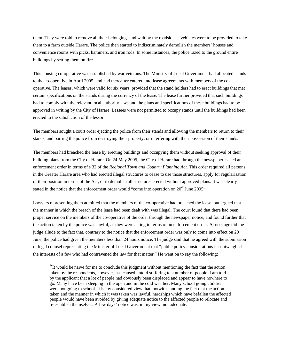them. They were told to remove all their belongings and wait by the roadside as vehicles were to be provided to take them to a farm outside Harare. The police then started to indiscriminately demolish the members' houses and convenience rooms with picks, hammers, and iron rods. In some instances, the police razed to the ground entire buildings by setting them on fire.

This housing co-operative was established by war veterans. The Ministry of Local Government had allocated stands to the co-operative in April 2005, and had thereafter entered into lease agreements with members of the cooperative. The leases, which were valid for six years, provided that the stand holders had to erect buildings that met certain specifications on the stands during the currency of the lease. The lease further provided that such buildings had to comply with the relevant local authority laws and the plans and specifications of these buildings had to be approved in writing by the City of Harare. Lessees were not permitted to occupy stands until the buildings had been erected to the satisfaction of the lessor.

The members sought a court order ejecting the police from their stands and allowing the members to return to their stands, and barring the police from destroying their property, or interfering with their possession of their stands.

The members had breached the lease by erecting buildings and occupying them without seeking approval of their building plans from the City of Harare. On 24 May 2005, the City of Harare had through the newspaper issued an enforcement order in terms of s 32 of the *Regional Town and Country Planning Act*. This order required all persons in the Greater Harare area who had erected illegal structures to cease to use those structures, apply for regularisation of their position in terms of the Act, or to demolish all structures erected without approved plans. It was clearly stated in the notice that the enforcement order would "come into operation on 20<sup>th</sup> June 2005".

Lawyers representing them admitted that the members of the co-operative had breached the lease, but argued that the manner in which the breach of the lease had been dealt with was illegal. The court found that there had been proper service on the members of the co-operative of the order through the newspaper notice, and found further that the action taken by the police was lawful, as they were acting in terms of an enforcement order. At no stage did the judge allude to the fact that, contrary to the notice that the enforcement order was only to come into effect on 20 June, the police had given the members less than 24 hours notice. The judge said that he agreed with the submission of legal counsel representing the Minister of Local Government that "public policy considerations far outweighed the interests of a few who had contravened the law for that matter." He went on to say the following:

"It would be naïve for me to conclude this judgment without mentioning the fact that the action taken by the respondents, however, has caused untold suffering to a number of people. I am told by the applicant that a lot of people had obviously been displaced and appear to have nowhere to go. Many have been sleeping in the open and in the cold weather. Many school going children were not going to school. It is my considered view that, notwithstanding the fact that the action taken and the manner in which it was taken was lawful, hardships which have befallen the affected people would have been avoided by giving adequate notice to the affected people to relocate and re-establish themselves. A few days' notice was, in my view, not adequate."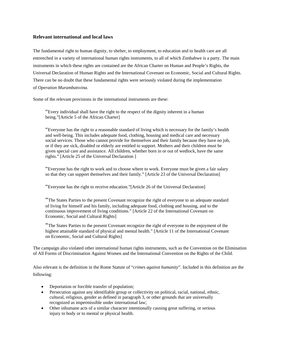# **Relevant international and local laws**

The fundamental right to human dignity, to shelter, to employment, to education and to health care are all entrenched in a variety of international human rights instruments, to all of which Zimbabwe is a party. The main instruments in which these rights are contained are the African Charter on Human and People's Rights, the Universal Declaration of Human Rights and the International Covenant on Economic, Social and Cultural Rights. There can be no doubt that these fundamental rights were seriously violated during the implementation of *Operation Murambatsvina.*

Some of the relevant provisions in the international instruments are these:

"Every individual shall have the right to the respect of the dignity inherent in a human being."[Article 5 of the African Charter]

"Everyone has the right to a reasonable standard of living which is necessary for the family's health and well-being. This includes adequate food, clothing, housing and medical care and necessary social services. Those who cannot provide for themselves and their family because they have no job, or if they are sick, disabled or elderly are entitled to support. Mothers and their children must be given special care and assistance. All children, whether born in or out of wedlock, have the same rights." [Article 25 of the Universal Declaration ]

"Everyone has the right to work and to choose where to work. Everyone must be given a fair salary so that they can support themselves and their family." [Article 23 of the Universal Declaration]

"Everyone has the right to receive education."[Article 26 of the Universal Declaration]

"The States Parties to the present Covenant recognize the right of everyone to an adequate standard of living for himself and his family, including adequate food, clothing and housing, and to the continuous improvement of living conditions." [Article 22 of the International Covenant on Economic, Social and Cultural Rights]

"The States Parties to the present Covenant recognize the right of everyone to the enjoyment of the highest attainable standard of physical and mental health." [Article 11 of the International Covenant on Economic, Social and Cultural Rights]

The campaign also violated other international human rights instruments, such as the Convention on the Elimination of All Forms of Discrimination Against Women and the International Convention on the Rights of the Child.

Also relevant is the definition in the Rome Statute of "*crimes against humanity*". Included in this definition are the following:

- Deportation or forcible transfer of population;
- Persecution against any identifiable group or collectivity on political, racial, national, ethnic, cultural, religious, gender as defined in paragraph 3, or other grounds that are universally recognized as impermissible under international law;
- Other inhumane acts of a similar character intentionally causing great suffering, or serious injury to body or to mental or physical health.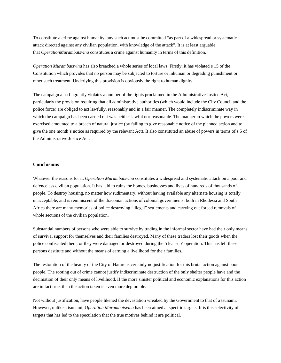To constitute a crime against humanity, any such act must be committed "as part of a widespread or systematic attack directed against any civilian population, with knowledge of the attack". It is at least arguable that *OperationMurambatsvina* constitutes a crime against humanity in terms of this definition.

*Operation Murambatsvina* has also breached a whole series of local laws. Firstly, it has violated s 15 of the Constitution which provides that no person may be subjected to torture or inhuman or degrading punishment or other such treatment. Underlying this provision is obviously the right to human dignity.

The campaign also flagrantly violates a number of the rights proclaimed in the Administrative Justice Act, particularly the provision requiring that all administrative authorities (which would include the City Council and the police force) are obliged to act lawfully, reasonably and in a fair manner. The completely indiscriminate way in which the campaign has been carried out was neither lawful nor reasonable. The manner in which the powers were exercised amounted to a breach of natural justice (by failing to give reasonable notice of the planned action and to give the one month's notice as required by the relevant Act). It also constituted an abuse of powers in terms of s.5 of the Administrative Justice Act.

### **Conclusions**

Whatever the reasons for it, *Operation Murambatsvina* constitutes a widespread and systematic attack on a poor and defenceless civilian population. It has laid to ruins the homes, businesses and lives of hundreds of thousands of people. To destroy housing, no matter how rudimentary, without having available any alternate housing is totally unacceptable, and is reminiscent of the draconian actions of colonial governments: both in Rhodesia and South Africa there are many memories of police destroying "illegal" settlements and carrying out forced removals of whole sections of the civilian population.

Substantial numbers of persons who were able to survive by trading in the informal sector have had their only means of survival support for themselves and their families destroyed. Many of these traders lost their goods when the police confiscated them, or they were damaged or destroyed during the 'clean-up' operation. This has left these persons destitute and without the means of earning a livelihood for their families.

The restoration of the beauty of the City of Harare is certainly no justification for this brutal action against poor people. The rooting out of crime cannot justify indiscriminate destruction of the only shelter people have and the decimation of their only means of livelihood. If the more sinister political and economic explanations for this action are in fact true, then the action taken is even more deplorable.

Not without justification, have people likened the devastation wreaked by the Government to that of a tsunami. However, unlike a tsunami, *Operation Murambatsvina* has been aimed at specific targets. It is this selectivity of targets that has led to the speculation that the true motives behind it are political.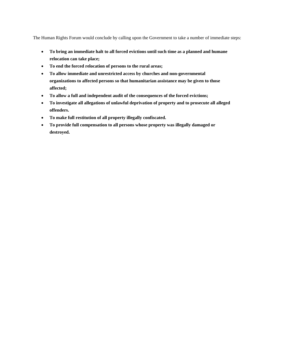The Human Rights Forum would conclude by calling upon the Government to take a number of immediate steps:

- **To bring an immediate halt to all forced evictions until such time as a planned and humane relocation can take place;**
- **To end the forced relocation of persons to the rural areas;**
- **To allow immediate and unrestricted access by churches and non-governmental organizations to affected persons so that humanitarian assistance may be given to those affected;**
- **To allow a full and independent audit of the consequences of the forced evictions;**
- **To investigate all allegations of unlawful deprivation of property and to prosecute all alleged offenders.**
- **To make full restitution of all property illegally confiscated.**
- **To provide full compensation to all persons whose property was illegally damaged or destroyed.**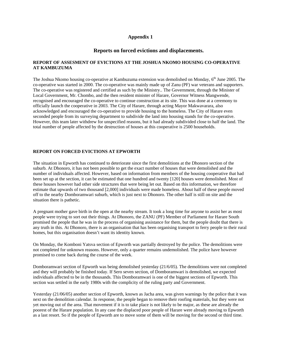# **Appendix 1**

# **Reports on forced evictions and displacements.**

# **REPORT OF ASSESMENT OF EVICTIONS AT THE JOSHUA NKOMO HOUSING CO-OPERATIVE AT KAMBUZUMA**

The Joshua Nkomo housing co-operative at Kambuzuma extension was demolished on Monday, 6<sup>th</sup> June 2005. The co-operative was started in 2000. The co-operative was mainly made up of Zanu (PF) war veterans and supporters. The co-operative was registered and certified as such by the Ministry.. The Government, through the Minister of Local Government, Mr. Chombo, and the then resident minister of Harare, Governor Witness Mangwende, recognised and encouraged the co-operative to continue construction at its site. This was done at a ceremony to officially launch the cooperative in 2003. The City of Harare, through acting Mayor Makwavarara, also acknowledged and encouraged the co-operative to provide housing to the homeless. The City of Harare even seconded people from its surveying department to subdivide the land into housing stands for the co-operative. However, this team later withdrew for unspecified reasons, but it had already subdivided close to half the land. The total number of people affected by the destruction of houses at this cooperative is 2500 households.

# **REPORT ON FORCED EVICTIONS AT EPWORTH**

The situation in Epworth has continued to deteriorate since the first demolitions at the Dhonoro section of the suburb. At Dhonoro, it has not been possible to get the exact number of houses that were demolished and the number of individuals affected. However, based on information from members of the housing cooperative that had been set up at the section, it can be estimated that one hundred and twenty [120] houses were demolished. Most of these houses however had other side structures that were being let out. Based on this information, we therefore estimate that upwards of two thousand [2,000] individuals were made homeless. About half of these people moved off to the nearby Domboramwari suburb, which is just next to Dhonoro. The other half is still on site and the situation there is pathetic.

A pregnant mother gave birth in the open at the nearby stream. It took a long time for anyone to assist her as most people were trying to sort out their things. At Dhonoro, the ZANU (PF) Member of Parliament for Harare South promised the people that he was in the process of organising assistance for them, but the people doubt that there is any truth in this. At Dhonoro, there is an organisation that has been organising transport to ferry people to their rural homes, but this organisation doesn't want its identity known.

On Monday, the Komboni Yatsva section of Epworth was partially destroyed by the police. The demolitions were not completed for unknown reasons. However, only a quarter remains undemolished. The police have however promised to come back during the course of the week.

Domboramwari section of Epworth was being demolished yesterday (21/6/05). The demolitions were not completed and they will probably be finished today. If Sero seven section, of Domboramwari is demolished, we expected individuals affected to be in the thousands. This Domboramwari is one of the biggest sections of Epworth. This section was settled in the early 1980s with the complicity of the ruling party and Government.

Yesterday (21/06/05) another section of Epworth, known as Jacha area, was given warnings by the police that it was next on the demolition calendar. In response, the people began to remove their roofing materials, but they were not yet moving out of the area. That movement if it is to take place is not likely to be major, as these are already the poorest of the Harare population. In any case the displaced poor people of Harare were already moving to Epworth as a last resort. So if the people of Epworth are to move some of them will be moving for the second or third time.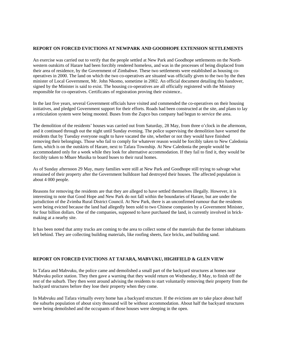#### **REPORT ON FORCED EVICTIONS AT NEWPARK AND GOODHOPE EXTENSION SETTLEMENTS**

An exercise was carried out to verify that the people settled at New Park and Goodhope settlements on the Northwestern outskirts of Harare had been forcibly rendered homeless, and was in the processes of being displaced from their area of residence, by the Government of Zimbabwe. These two settlements were established as housing cooperatives in 2000. The land on which the two co-operatives are situated was officially given to the two by the then minister of Local Government, Mr. John Nkomo, sometime in 2002. An official document detailing this handover, signed by the Minister is said to exist. The housing co-operatives are all officially registered with the Ministry responsible for co-operatives. Certificates of registration proving their existence..

In the last five years, several Government officials have visited and commended the co-operatives on their housing initiatives, and pledged Government support for their efforts. Roads had been constructed at the site, and plans to lay a reticulation system were being mooted. Buses from the Zupco bus company had begun to service the area.

The demolition of the residents' houses was carried out from Saturday, 28 May, from three o'clock in the afternoon, and it continued through out the night until Sunday evening. The police supervising the demolition have warned the residents that by Tuesday everyone ought to have vacated the site, whether or not they would have finished removing their belongings. Those who fail to comply for whatever reason would be forcibly taken to New Caledonia farm, which is on the outskirts of Harare, next to Tafara Township. At New Caledonia the people would be accommodated only for a week while they look for alternative accommodation. If they fail to find it, they would be forcibly taken to Mbare Musika to board buses to their rural homes.

As of Sunday afternoon 29 May, many families were still at New Park and Goodhope still trying to salvage what remained of their property after the Government bulldozer had destroyed their houses. The affected population is about 4 000 people.

Reasons for removing the residents are that they are alleged to have settled themselves illegally. However, it is interesting to note that Good Hope and New Park do not fall within the boundaries of Harare, but are under the jurisdiction of the Zvimba Rural District Council. At New Park, there is an unconfirmed rumour that the residents were being evicted because the land had allegedly been sold to two Chinese companies by a Government Minister, for four billion dollars. One of the companies, supposed to have purchased the land, is currently involved in brickmaking at a nearby site.

It has been noted that army trucks are coming to the area to collect some of the materials that the former inhabitants left behind. They are collecting building materials, like roofing sheets, face bricks, and building sand.

### **REPORT ON FORCED EVICTIONS AT TAFARA, MABVUKU, HIGHFIELD & GLEN VIEW**

In Tafara and Mabvuku, the police came and demolished a small part of the backyard structures at homes near Mabvuku police station. They then gave a warning that they would return on Wednesday, 8 May, to finish off the rest of the suburb. They then went around advising the residents to start voluntarily removing their property from the backyard structures before they lose their property when they come.

In Mabvuku and Tafara virtually every home has a backyard structure. If the evictions are to take place about half the suburbs population of about sixty thousand will be without accommodation. About half the backyard structures were being demolished and the occupants of those houses were sleeping in the open.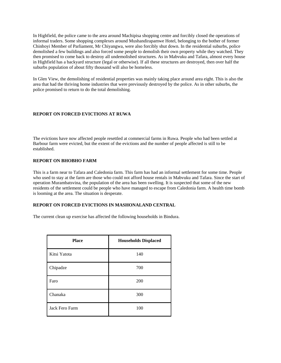In Highfield, the police came to the area around Machipisa shopping centre and forcibly closed the operations of informal traders. Some shopping complexes around Mushandirapamwe Hotel, belonging to the bother of former Chinhoyi Member of Parliament, Mr Chiyangwa, were also forcibly shut down. In the residential suburbs, police demolished a few buildings and also forced some people to demolish their own property while they watched. They then promised to come back to destroy all undemolished structures. As in Mabvuku and Tafara, almost every house in Highfield has a backyard structure (legal or otherwise). If all these structures are destroyed, then over half the suburbs population of about fifty thousand will also be homeless.

In Glen View, the demolishing of residential properties was mainly taking place around area eight. This is also the area that had the thriving home industries that were previously destroyed by the police. As in other suburbs, the police promised to return to do the total demolishing.

# **REPORT ON FORCED EVICTIONS AT RUWA**

The evictions have now affected people resettled at commercial farms in Ruwa. People who had been settled at Barbour farm were evicted, but the extent of the evictions and the number of people affected is still to be established.

# **REPORT ON BHOBHO FARM**

This is a farm near to Tafara and Caledonia farm. This farm has had an informal settlement for some time. People who used to stay at the farm are those who could not afford house rentals in Mabvuku and Tafara. Since the start of operation Murambatsvina, the population of the area has been swelling. It is suspected that some of the new residents of the settlement could be people who have managed to escape from Caledonia farm. A health time bomb is looming at the area. The situation is desperate.

# **REPORT ON FORCED EVICTIONS IN MASHONALAND CENTRAL**

The current clean up exercise has affected the following households in Bindura.

| <b>Place</b>   | <b>Households Displaced</b> |
|----------------|-----------------------------|
| Kitsi Yatota   | 140                         |
| Chipadze       | 700                         |
| Faro           | 200                         |
| Chanaka        | 300                         |
| Jack Fero Farm | 100                         |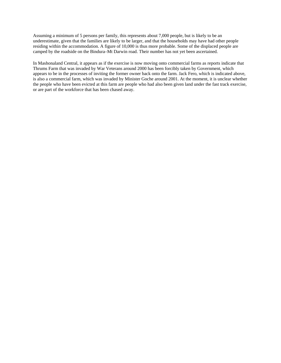Assuming a minimum of 5 persons per family, this represents about 7,000 people, but is likely to be an underestimate, given that the families are likely to be larger, and that the households may have had other people residing within the accommodation. A figure of 10,000 is thus more probable. Some of the displaced people are camped by the roadside on the Bindura–Mt Darwin road. Their number has not yet been ascertained.

In Mashonaland Central, it appears as if the exercise is now moving onto commercial farms as reports indicate that Thrums Farm that was invaded by War Veterans around 2000 has been forcibly taken by Government, which appears to be in the processes of inviting the former owner back onto the farm. Jack Fero, which is indicated above, is also a commercial farm, which was invaded by Minister Goche around 2001. At the moment, it is unclear whether the people who have been evicted at this farm are people who had also been given land under the fast track exercise, or are part of the workforce that has been chased away.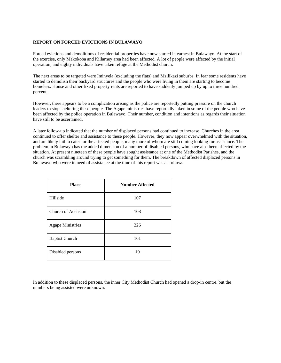## **REPORT ON FORCED EVICTIONS IN BULAWAYO**

Forced evictions and demolitions of residential properties have now started in earnest in Bulawayo. At the start of the exercise, only Makokoba and Killarney area had been affected. A lot of people were affected by the initial operation, and eighty individuals have taken refuge at the Methodist church.

The next areas to be targeted were Iminyela (excluding the flats) and Mzilikazi suburbs. In fear some residents have started to demolish their backyard structures and the people who were living in them are starting to become homeless. House and other fixed property rents are reported to have suddenly jumped up by up to three hundred percent.

However, there appears to be a complication arising as the police are reportedly putting pressure on the church leaders to stop sheltering these people. The Agape ministries have reportedly taken in some of the people who have been affected by the police operation in Bulawayo. Their number, condition and intentions as regards their situation have still to be ascertained.

A later follow-up indicated that the number of displaced persons had continued to increase. Churches in the area continued to offer shelter and assistance to these people. However, they now appear overwhelmed with the situation, and are likely fail to cater for the affected people, many more of whom are still coming looking for assistance. The problem in Bulawayo has the added dimension of a number of disabled persons, who have also been affected by the situation. At present nineteen of these people have sought assistance at one of the Methodist Parishes, and the church was scrambling around trying to get something for them. The breakdown of affected displaced persons in Bulawayo who were in need of assistance at the time of this report was as follows:

| <b>Place</b>            | <b>Number Affected</b> |
|-------------------------|------------------------|
| Hillside                | 107                    |
| Church of Acension      | 108                    |
| <b>Agape Ministries</b> | 226                    |
| <b>Baptist Church</b>   | 161                    |
| Disabled persons        | 19                     |

In addition to these displaced persons, the inner City Methodist Church had opened a drop-in centre, but the numbers being assisted were unknown.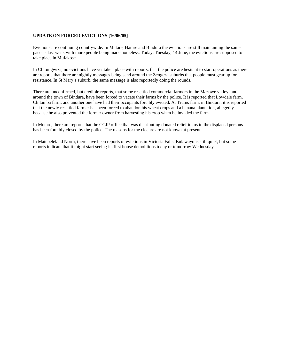# **UPDATE ON FORCED EVICTIONS [16/06/05]**

Evictions are continuing countrywide. In Mutare, Harare and Bindura the evictions are still maintaining the same pace as last week with more people being made homeless. Today, Tuesday, 14 June, the evictions are supposed to take place in Mufakose.

In Chitungwiza, no evictions have yet taken place with reports, that the police are hesitant to start operations as there are reports that there are nightly messages being send around the Zengeza suburbs that people must gear up for resistance. In St Mary's suburb, the same message is also reportedly doing the rounds.

There are unconfirmed, but credible reports, that some resettled commercial farmers in the Mazowe valley, and around the town of Bindura, have been forced to vacate their farms by the police. It is reported that Lowdale farm, Chitamba farm, and another one have had their occupants forcibly evicted. At Trums farm, in Bindura, it is reported that the newly resettled farmer has been forced to abandon his wheat crops and a banana plantation, allegedly because he also prevented the former owner from harvesting his crop when he invaded the farm.

In Mutare, there are reports that the CCJP office that was distributing donated relief items to the displaced persons has been forcibly closed by the police. The reasons for the closure are not known at present.

In Matebeleland North, there have been reports of evictions in Victoria Falls. Bulawayo is still quiet, but some reports indicate that it might start seeing its first house demolitions today or tomorrow Wednesday.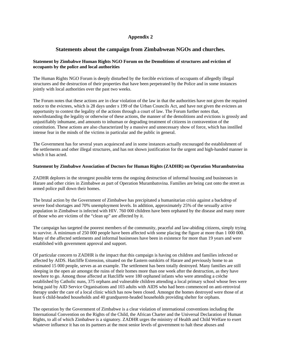# **Appendix 2**

# **Statements about the campaign from Zimbabwean NGOs and churches.**

# **Statement by Zimbabwe Human Rights NGO Forum on the Demolitions of structures and eviction of occupants by the police and local authorities**

The Human Rights NGO Forum is deeply disturbed by the forcible evictions of occupants of allegedly illegal structures and the destruction of their properties that have been perpetrated by the Police and in some instances jointly with local authorities over the past two weeks.

The Forum notes that these actions are in clear violation of the law in that the authorities have not given the required notice to the evictees, which is 28 days under s 199 of the Urban Councils Act, and have not given the evictees an opportunity to contest the legality of the actions through a court of law. The Forum further notes that, notwithstanding the legality or otherwise of these actions, the manner of the demolitions and evictions is grossly and unjustifiably inhumane, and amounts to inhuman or degrading treatment of citizens in contravention of the constitution. These actions are also characterized by a massive and unnecessary show of force, which has instilled intense fear in the minds of the victims in particular and the public in general.

The Government has for several years acquiesced and in some instances actually encouraged the establishment of the settlements and other illegal structures, and has not shown justification for the urgent and high-handed manner in which it has acted.

# **Statement by Zimbabwe Association of Doctors for Human Rights (ZADHR) on Operation Murambutsvina**

ZADHR deplores in the strongest possible terms the ongoing destruction of informal housing and businesses in Harare and other cities in Zimbabwe as part of Operation Murambatsvina. Families are being cast onto the street as armed police pull down their homes.

The brutal action by the Government of Zimbabwe has precipitated a humanitarian crisis against a backdrop of severe food shortages and 70% unemployment levels. In addition, approximately 25% of the sexually active population in Zimbabwe is infected with HIV. 760 000 children have been orphaned by the disease and many more of those who are victims of the "clean up" are affected by it.

The campaign has targeted the poorest members of the community, peaceful and law-abiding citizens, simply trying to survive. A minimum of 250 000 people have been affected with some placing the figure at more than 1 000 000. Many of the affected settlements and informal businesses have been in existence for more than 19 years and were established with government approval and support.

Of particular concern to ZADHR is the impact that this campaign is having on children and families infected or affected by AIDS. Hatcliffe Extension, situated on the Eastern outskirts of Harare and previously home to an estimated 15 000 people, serves as an example. The settlement has been totally destroyed. Many families are still sleeping in the open air amongst the ruins of their homes more than one week after the destruction, as they have nowhere to go. Among those affected at Hatcliffe were 180 orphaned infants who were attending a crèche established by Catholic nuns, 375 orphans and vulnerable children attending a local primary school whose fees were being paid by AID Service Organisations and 103 adults with AIDS who had been commenced on anti-retroviral therapy under the care of a local clinic which has now been closed. Amongst the homes destroyed were those of at least 6 child-headed households and 40 grandparent-headed households providing shelter for orphans.

The operation by the Government of Zimbabwe is a clear violation of international conventions including the International Convention on the Rights of the Child, the African Charter and the Universal Declaration of Human Rights, to all of which Zimbabwe is a signatory. ZADHR urges the ministry of Health and Child Welfare to exert whatever influence it has on its partners at the most senior levels of government to halt these abuses and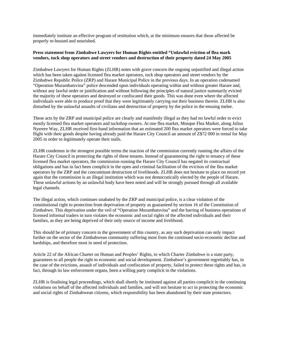immediately institute an effective program of restitution which, at the minimum ensures that those affected be properly re-housed and nourished.

# **Press statement from Zimbabwe Lawyers for Human Rights entitled "Unlawful eviction of flea mark vendors, tuck shop operators and street vendors and destruction of their property dated 24 May 2005**

Zimbabwe Lawyers for Human Rights (ZLHR) notes with grave concern the ongoing unjustified and illegal action which has been taken against licensed flea market operators, tuck shop operators and street vendors by the Zimbabwe Republic Police (ZRP) and Harare Municipal Police in the previous days. In an operation codenamed "Operation Murambatsvina" police descended upon individuals operating within and without greater Harare and, without any lawful order or justification and without following the principles of natural justice summarily evicted the majority of these operators and destroyed or confiscated their goods. This was done even where the affected individuals were able to produce proof that they were legitimately carrying out their business therein. ZLHR is also disturbed by the unlawful assaults of civilians and destruction of property by the police in the ensuing melee.

These acts by the ZRP and municipal police are clearly and manifestly illegal as they had no lawful order to evict mostly licensed flea market operators and tuckshop owners. At one flea market, Mosque Flea Market, along Julius Nyerere Way, ZLHR received first-hand information that an estimated 200 flea market operators were forced to take flight with their goods despite having already paid the Harare City Council an amount of Z\$72 000 in rental for May 2005 in order to legitimately operate their stalls.

ZLHR condemns in the strongest possible terms the inaction of the commission currently running the affairs of the Harare City Council in protecting the rights of these tenants. Instead of guaranteeing the right to tenancy of these licensed flea market operators, the commission running the Harare City Council has negated its contractual obligations and has in fact been complicit in the open and criminal facilitation of the eviction of the flea market operators by the ZRP and the concomitant destruction of livelihoods. ZLHR does not hesitate to place on record yet again that the commission is an illegal institution which was not democratically elected by the people of Harare. These unlawful actions by an unlawful body have been noted and will be strongly pursued through all available legal channels.

The illegal action, which continues unabated by the ZRP and municipal police, is a clear violation of the constitutional right to protection from deprivation of property as guaranteed by section 16 of the Constitution of Zimbabwe. This deprivation under the veil of "Operation Murambatsvina" and the barring of business operations of licensed informal traders in turn violates the economic and social rights of the affected individuals and their families, as they are being deprived of their only source of income and livelihood.

This should be of primary concern to the government of this country, as any such deprivation can only impact further on the sector of the Zimbabwean community suffering most from the continued socio-economic decline and hardships, and therefore most in need of protection.

Article 22 of the African Charter on Human and Peoples' Rights, to which Charter Zimbabwe is a state party, guarantees to all people the right to economic and social development. Zimbabwe's government regrettably has, in the case of the evictions, assault of individuals and confiscation of property, failed to protect these rights and has, in fact, through its law enforcement organs, been a willing party complicit in the violations.

ZLHR is finalising legal proceedings, which shall shortly be instituted against all parties complicit in the continuing violations on behalf of the affected individuals and families, and will not hesitate to act in protecting the economic and social rights of Zimbabwean citizens, which responsibility has been abandoned by their state protectors.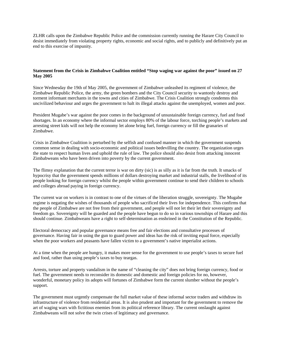ZLHR calls upon the Zimbabwe Republic Police and the commission currently running the Harare City Council to desist immediately from violating property rights, economic and social rights, and to publicly and definitively put an end to this exercise of impunity.

## **Statement from the Crisis in Zimbabwe Coalition entitled "Stop waging war against the poor" issued on 27 May 2005**

Since Wednesday the 19th of May 2005, the government of Zimbabwe unleashed its regiment of violence, the Zimbabwe Republic Police, the army, the green bombers and the City Council security to wantonly destroy and torment informant merchants in the towns and cities of Zimbabwe. The Crisis Coalition strongly condemns this uncivilized behaviour and urges the government to halt its illegal attacks against the unemployed, women and poor.

President Mugabe's war against the poor comes in the background of unsustainable foreign currency, fuel and food shortages. In an economy where the informal sector employs 80% of the labour force, torching people's markets and arresting street kids will not help the economy let alone bring fuel, foreign currency or fill the granaries of Zimbabwe.

Crisis in Zimbabwe Coalition is perturbed by the selfish and confused manner in which the government suspends common sense in dealing with socio-economic and political issues bedevilling the country. The organization urges the state to respect human lives and uphold the rule of law. The police should also desist from attacking innocent Zimbabweans who have been driven into poverty by the current government.

The flimsy explanation that the current terror is war on dirty (sic) is as silly as it is far from the truth. It smacks of hypocrisy that the government spends millions of dollars destroying market and industrial stalls, the livelihood of its people looking for foreign currency whilst the people within government continue to send their children to schools and colleges abroad paying in foreign currency.

The current war on workers is in contrast to one of the virtues of the liberation struggle, sovereignty. The Mugabe regime is negating the wishes of thousands of people who sacrificed their lives for independence. This confirms that the people of Zimbabwe are not free from their government, and people will not let their let their sovereignty and freedom go. Sovereignty will be guarded and the people have begun to do so in various townships of Harare and this should continue. Zimbabweans have a right to self-determination as enshrined in the Constitution of the Republic.

Electoral democracy and popular governance means free and fair elections and consultative processes of governance. Having fair in using the gun to guard power and ideas has the risk of inviting equal force, especially when the poor workers and peasants have fallen victim to a government's native imperialist actions.

At a time when the people are hungry, it makes more sense for the government to use people's taxes to secure fuel and food, rather than using people's taxes to buy teargas.

Arrests, torture and property vandalism in the name of "cleaning the city" does not bring foreign currency, food or fuel. The government needs to reconsider its domestic and domestic and foreign policies for no, however, wonderful, monetary policy its adopts will fortunes of Zimbabwe form the current slumber without the people's support.

The government must urgently compensate the full market value of these informal sector traders and withdraw its infrastructure of violence from residential areas. It is also prudent and important for the government to remove the art of waging wars with fictitious enemies from its political reference library. The current onslaught against Zimbabweans will not solve the twin crises of legitimacy and governance.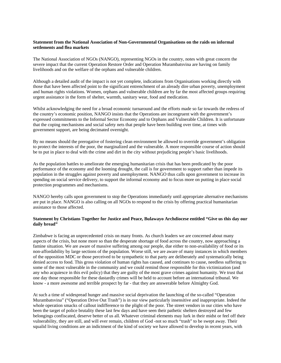## **Statement from the National Association of Non-Governmental Organisations on the raids on informal settlements and flea markets**

The National Association of NGOs (NANGO), representing NGOs in the country, notes with great concern the severe impact that the current Operation Restore Order and Operation Murambatsvina are having on family livelihoods and on the welfare of the orphans and vulnerable children.

Although a detailed audit of the impact is not yet complete, indications from Organisations working directly with those that have been affected point to the significant entrenchment of an already dire urban poverty, unemployment and human rights violations. Women, orphans and vulnerable children are by far the most affected groups requiring urgent assistance in the form of shelter, warmth, sanitary wear, food and medication.

Whilst acknowledging the need for a broad economic turnaround and the efforts made so far towards the redress of the country's economic position, NANGO insists that the Operations are incongruent with the government's expressed commitments to the Informal Sector Economy and to Orphans and Vulnerable Children. It is unfortunate that the coping mechanisms and social safety nets that people have been building over time, at times with government support, are being decimated overnight.

By no means should the prerogative of fostering clean environment be allowed to override government's obligation to protect the interests of the poor, the marginalized and the vulnerable. A more responsible course of action should be to put in place to deal with the crime and dirt in the city without prejudicing people's basic livelihoods.

As the population battles to ameliorate the emerging humanitarian crisis that has been predicated by the poor performance of the economy and the looming drought, the call is for government to support rather than impede its population in the struggles against poverty and unemployment. NANGO thus calls upon government to increase its spending on social service delivery, to support the informal economy and to focus more on putting in place social protection programmes and mechanisms.

NANGO hereby calls upon government to stop the Operations immediately until appropriate alternative mechanisms are put in place. NANGO is also calling on all NGOs to respond to the crisis by offering practical humanitarian assistance to those affected.

# **Statement by Christians Together for Justice and Peace, Bulawayo Archdiocese entitled "Give us this day our daily bread"**

Zimbabwe is facing an unprecedented crisis on many fronts. As church leaders we are concerned about many aspects of the crisis, but none more so than the desperate shortage of food across the country, now approaching a famine situation. We are aware of massive suffering among our people, due either to non-availability of food or its non-affordability by large sections of the population. Worse still, we are aware of many instances in which members of the opposition MDC or those perceived to be sympathetic to that party are deliberately and systematically being denied access to food. This gross violation of human rights has caused, and continues to cause, needless suffering to some of the most vulnerable in the community and we could remind those responsible for this victimization (and any who acquiesce in this evil policy) that they are guilty of the most grave crimes against humanity. We trust that one day those responsible for these dastardly crimes will be held to account before an international tribunal. We know - a more awesome and terrible prospect by far - that they are answerable before Almighty God.

At such a time of widespread hunger and massive social deprivation the launching of the so-called "Operation Murambatsvina" ("Operation Drive Out Trash") is in our view particularly insensitive and inappropriate. Indeed the whole operation smacks of callout indifference to the plight of the poor. The street vendors in our cities who have been the target of police brutality these last few days and have seen their pathetic shelters destroyed and few belongings confiscated, deserve better of us all. Whatever criminal elements may lurk in their midst or feel off their vulnerability, they are still, and will ever remain, children of God -not so much "trash" to be swept away. Their squalid living conditions are an indictment of the kind of society we have allowed to develop in recent years, with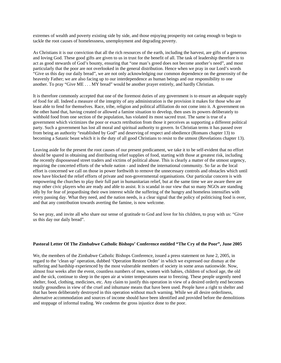extremes of wealth and poverty existing side by side, and those enjoying prosperity not caring enough to begin to tackle the root causes of homelessness, unemployment and degrading poverty.

As Christians it is our conviction that all the rich resources of the earth, including the harvest, are gifts of a generous and loving God. These good gifts are given to us in trust for the benefit of all. The task of leadership therefore is to act as good stewards of God's bounty, ensuring that "one man's greed does not become another's need", and most particularly that the poor are not overlooked in the general distribution. Hence when we pray in our Lord's words "Give us this day our daily bread", we are not only acknowledging our common dependence on the generosity of the heavenly Father; we are also facing up to our interdependence as human beings and our responsibility to one another. To pray "Give ME . . . MY bread" would be another prayer entirely, and hardly Christian.

It is therefore commonly accepted that one of the foremost duties of any government is to ensure an adequate supply of food for all. Indeed a measure of the integrity of any administration is the provision it makes for those who are least able to fend for themselves. Race, tribe, religion and political affiliation do not come into it. A government on the other hand that, having created or allowed a famine situation to develop, then uses its powers deliberately to withhold food from one section of the population, has violated its most sacred trust. The same is true of a government which victimizes the poor or exacts retribution from those it perceives as supporting a different political party. Such a government has lost all moral and spiritual authority to govern. In Christian terms it has passed over from being an authority "established by God" and deserving of respect and obedience (Romans chapter 13) to becoming a Satanic beast which it is the duty of all good Christians to resist to the utmost (Revelations chapter 13).

Leaving aside for the present the root causes of our present predicament, we take it to be self-evident that no effort should be spared in obtaining and distributing relief supplies of food, starting with those at greatest risk, including the recently dispossessed street traders and victims of political abuse. This is clearly a matter of the utmost urgency, requiring the concerted efforts of the whole nation - and indeed the international community. So far as the local effort is concerned we call on those in power forthwith to remove the unnecessary controls and obstacles which until now have blocked the relief efforts of private and non-governmental organisations. Our particular concern is with empowering the churches to play their full part in humanitarian relief, but at the same time we are aware there are may other civic players who are ready and able to assist. It is scandal in our view that so many NGOs are standing idly by for fear of jeopardising their own interest while the suffering of the hungry and homeless intensifies with every passing day. What they need, and the nation needs, is a clear signal that the policy of politicising food is over, and that any contribution towards averting the famine, is now welcome.

So we pray, and invite all who share our sense of gratitude to God and love for his children, to pray with us: "Give us this day our daily bread".

### **Pastoral Letter Of The Zimbabwe Catholic Bishops' Conference entitled "The Cry of the Poor", June 2005**

We, the members of the Zimbabwe Catholic Bishops Conference, issued a press statement on June 2, 2005, in regard to the 'clean up' operation, dubbed 'Operation Restore Order' in which we expressed our dismay at the suffering and hardship experienced by the most vulnerable members of society in some areas nationwide. Now, almost four weeks after the event, countless numbers of men, women with babies, children of school age, the old and the sick, continue to sleep in the open air at winter temperatures near to freezing. These people urgently need shelter, food, clothing, medicines, etc. Any claim to justify this operation in view of a desired orderly end becomes totally groundless in view of the cruel and inhumane means that have been used. People have a right to shelter and that has been deliberately destroyed in this operation without much warning. While we all desire orderliness, alternative accommodation and sources of income should have been identified and provided before the demolitions and stoppage of informal trading. We condemn the gross injustice done to the poor.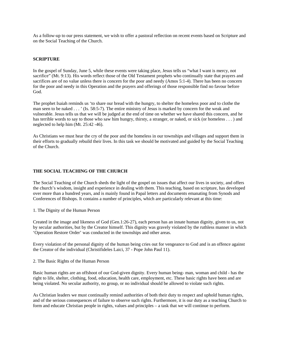As a follow-up to our press statement, we wish to offer a pastoral reflection on recent events based on Scripture and on the Social Teaching of the Church.

## **SCRIPTURE**

In the gospel of Sunday, June 5, while these events were taking place, Jesus tells us "what I want is mercy, not sacrifice" (Mt. 9:13). His words reflect those of the Old Testament prophets who continually state that prayers and sacrifices are of no value unless there is concern for the poor and needy (Amos 5:1-4). There has been no concern for the poor and needy in this Operation and the prayers and offerings of those responsible find no favour before God.

The prophet Isaiah reminds us 'to share our bread with the hungry, to shelter the homeless poor and to clothe the man seen to be naked . . . ' (Is. 58:5-7). The entire ministry of Jesus is marked by concern for the weak and vulnerable. Jesus tells us that we will be judged at the end of time on whether we have shared this concern, and he has terrible words to say to those who saw him hungry, thirsty, a stranger, or naked, or sick (or homeless . . . ) and neglected to help him (Mt. 25:42 -46).

As Christians we must hear the cry of the poor and the homeless in our townships and villages and support them in their efforts to gradually rebuild their lives. In this task we should be motivated and guided by the Social Teaching of the Church.

### **THE SOCIAL TEACHING OF THE CHURCH**

The Social Teaching of the Church sheds the light of the gospel on issues that affect our lives in society, and offers the church's wisdom, insight and experience in dealing with them. This teaching, based on scripture, has developed over more than a hundred years, and is mainly found in Papal letters and documents emanating from Synods and Conferences of Bishops. It contains a number of principles, which are particularly relevant at this time:

1. The Dignity of the Human Person

Created in the image and likeness of God (Gen.1:26-27), each person has an innate human dignity, given to us, not by secular authorities, but by the Creator himself. This dignity was gravely violated by the ruthless manner in which 'Operation Restore Order' was conducted in the townships and other areas.

Every violation of the personal dignity of the human being cries out for vengeance to God and is an offence against the Creator of the individual (Christifideles Laici, 37 - Pope John Paul 11).

2. The Basic Rights of the Human Person

Basic human rights are an offshoot of our God-given dignity. Every human being- man, woman and child - has the right to life, shelter, clothing, food, education, health care, employment, etc. These basic rights have been and are being violated. No secular authority, no group, or no individual should be allowed to violate such rights.

As Christian leaders we must continually remind authorities of both their duty to respect and uphold human rights, and of the serious consequences of failure to observe such rights. Furthermore, it is our duty as a teaching Church to form and educate Christian people in rights, values and principles – a task that we will continue to perform.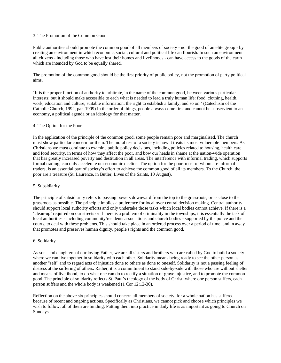## 3. The Promotion of the Common Good

Public authorities should promote the common good of all members of society - not the good of an elite group - by creating an environment in which economic, social, cultural and political life can flourish. In such an environment all citizens - including those who have lost their homes and livelihoods - can have access to the goods of the earth which are intended by God to be equally shared.

The promotion of the common good should be the first priority of public policy, not the promotion of party political aims.

'It is the proper function of authority to arbitrate, in the name of the common good, between various particular interests; but it should make accessible to each what is needed to lead a truly human life: food, clothing, health, work, education and culture, suitable information, the right to establish a family, and so on.' (Catechism of the Catholic Church, 1992, par. 1909) In the order of things, people always come first and cannot be subservient to an economy, a political agenda or an ideology for that matter.

#### 4. The Option for the Poor

In the application of the principle of the common good, some people remain poor and marginalised. The church must show particular concern for them. The moral test of a society is how it treats its most vulnerable members. As Christians we must continue to examine public policy decisions, including policies related to housing, health care and food security, in terms of how they affect the poor, and bow our heads in shame at the nation-wide operation that has greatly increased poverty and destitution in all areas. The interference with informal trading, which supports formal trading, can only accelerate our economic decline. The option for the poor, most of whom are informal traders, is an essential part of society's effort to achieve the common good of all its members. To the Church, the poor are a treasure (St. Laurence, in Butler, Lives of the Saints, 10 August).

#### 5. Subsidiarity

The principle of subsidiarity refers to passing powers downward from the top to the grassroots, or as close to the grassroots as possible. The principle implies a preference for local over central decision making. Central authority should support local authority efforts and only undertake those tasks which local bodies cannot achieve. If there is a 'clean-up' required on our streets or if there is a problem of criminality in the townships, it is essentially the task of local authorities - including community/residents associations and church bodies - supported by the police and the courts, to deal with these problems. This should take place in an ordered process over a period of time, and in away that promotes and preserves human dignity, people's rights and the common good.

### 6. Solidarity

As sons and daughters of our loving Father, we are all sisters and brothers who are called by God to build a society where we can live together in solidarity with each other. Solidarity means being ready to see the other person as another "self" and to regard acts of injustice done to others as done to oneself. Solidarity is not a passing feeling of distress at the suffering of others. Rather, it is a commitment to stand side-by-side with those who are without shelter and means of livelihood, to do what one can do to rectify a situation of grave injustice, and to promote the common good. The principle of solidarity reflects St. Paul's theology of the body of Christ: where one person suffers, each person suffers and the whole body is weakened (1 Cor 12:12-30).

Reflection on the above six principles should concern all members of society, for a whole nation has suffered because of recent and ongoing actions. Specifically as Christians, we cannot pick and choose which principles we wish to follow; all of them are binding. Putting them into practice in daily life is as important as going to Church on Sundays.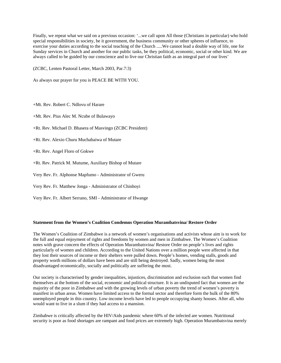Finally, we repeat what we said on a previous occasion: '...we call upon All those (Christians in particular) who hold special responsibilities in society, be it government, the business community or other spheres of influence, to exercise your duties according to the social teaching of the Church .....We cannot lead a double way of life, one for Sunday services in Church and another for our public tasks, be they political, economic, social or other kind. We are always called to be guided by our conscience and to live our Christian faith as an integral part of our lives'

(ZCBC, Lenten Pastoral Letter, March 2003, Par.7:3)

As always our prayer for you is PEACE BE WITH YOU.

+Mt. Rev. Robert C. Ndlovu of Harare

+Mt. Rev. Pius Alec M. Ncube of Bulawayo

+Rt. Rev. Michael D. Bhasera of Masvingo (ZCBC President)

+Rt. Rev. Alexio Churu Muchabaiwa of Mutare

+Rt. Rev. Angel Floro of Gokwe

+Rt. Rev. Patrick M. Mutume, Auxiliary Bishop of Mutare

Very Rev. Fr. Alphonse Mapfumo - Administrator of Gweru

Very Rev. Fr. Matthew Jonga - Administrator of Chinhoyi

Very Rev. Fr. Albert Serrano, SMI - Administrator of Hwange

### **Statement from the Women's Coalition Condemns Operation Murambatsvina/ Restore Order**

The Women's Coalition of Zimbabwe is a network of women's organisations and activists whose aim is to work for the full and equal enjoyment of rights and freedoms by women and men in Zimbabwe. The Women's Coalition notes with grave concern the effects of Operation Murambatsvina/ Restore Order on people's lives and rights particularly of women and children. According to the United Nations over a million people were affected in that they lost their sources of income or their shelters were pulled down. People's homes, vending stalls, goods and property worth millions of dollars have been and are still being destroyed. Sadly, women being the most disadvantaged economically, socially and politically are suffering the most.

Our society is characterised by gender inequalities, injustices, discrimination and exclusion such that women find themselves at the bottom of the social, economic and political structure. It is an undisputed fact that women are the majority of the poor in Zimbabwe and with the growing levels of urban poverty the trend of women's poverty is manifest in urban areas. Women have limited access to the formal sector and therefore form the bulk of the 80% unemployed people in this country. Low-income levels have led to people occupying shanty houses. After all, who would want to live in a slum if they had access to a mansion.

Zimbabwe is critically affected by the HIV/Aids pandemic where 60% of the infected are women. Nutritional security is poor as food shortages are rampant and food prices are extremely high. Operation Murambatsvina merely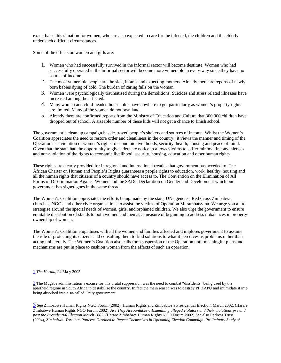exacerbates this situation for women, who are also expected to care for the infected, the children and the elderly under such difficult circumstances.

Some of the effects on women and girls are:

- 1. Women who had successfully survived in the informal sector will become destitute. Women who had successfully operated in the informal sector will become more vulnerable in every way since they have no source of income.
- 2. The most vulnerable people are the sick, infants and expecting mothers. Already there are reports of newly born babies dying of cold. The burden of caring falls on the woman.
- 3. Women were psychologically traumatised during the demolitions. Suicides and stress related illnesses have increased among the affected.
- 4. Many women and child-headed households have nowhere to go, particularly as women's property rights are limited. Many of the women do not own land.
- 5. Already there are confirmed reports from the Ministry of Education and Culture that 300 000 children have dropped out of school. A sizeable number of these kids will not get a chance to finish school.

The government's clean up campaign has destroyed people's shelters and sources of income. Whilst the Women's Coalition appreciates the need to restore order and cleanliness in the country., it views the manner and timing of the Operation as a violation of women's rights to economic livelihoods, security, health, housing and peace of mind. Given that the state had the opportunity to give adequate notice to allows victims to suffer minimal inconveniences and non-violation of the rights to economic livelihood, security, housing, education and other human rights.

These rights are clearly provided for in regional and international treaties that government has acceded to. The African Charter on Human and People's Rights guarantees a people rights to education, work, healthy, housing and all the human rights that citizens of a country should have access to. The Convention on the Elimination of All Forms of Discrimination Against Women and the SADC Declaration on Gender and Development which our government has signed goes in the same thread.

The Women's Coalition appreciates the efforts being made by the state, UN agencies, Red Cross Zimbabwe, churches, NGOs and other civic organisations to assist the victims of Operation Murambatsvina. We urge you all to strategise around the special needs of women, girls, and orphaned children. We also urge the government to ensure equitable distribution of stands to both women and men as a measure of beginning to address imbalances in property ownership of women.

The Women's Coalition empathises with all the women and families affected and implores government to assume the role of protecting its citizens and consulting them to find solutions to what it perceives as problems rather than acting unilaterally. The Women's Coalition also calls for a suspension of the Operation until meaningful plans and mechanisms are put in place to cushion women from the effects of such an operation.

### 1 *The Herald*, 24 Ma y 2005.

2 The Mugabe administration's excuse for this brutal suppression was the need to combat "dissidents" being used by the apartheid regime in South Africa to destabilise the country. In fact the main reason was to destroy PF ZAPU and intimidate it into being absorbed into a so-called Unity government.

3 See Zimbabwe Human Rights NGO Forum (2002), Human Rights and Zimbabwe's Presidential Election: March 2002, (Harare Zimbabwe Human Rights NGO Forum 2002), *Are They Accountable?: Examining alleged violators and their violations pre and post the Presidential Election March 2002*, (Harare Zimbabwe Human Rights NGO Forum 2002) See also Redress Trust (2004), *Zimbabwe. Tortuous Patterns Destined to Repeat Themselves in Upcoming Election Campaign. Preliminary Study of*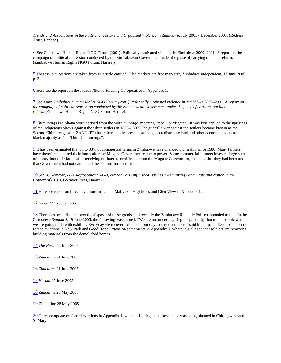*Trends and Associations in the Pattern of Torture and Organised Violence in Zimbabwe*, July 2001 - December 2003, (Redress Trust, London).

4 See Zimbabwe Human Rights NGO Forum (2001), Politically motivated violence in Zimbabwe 2000–2001. A report on the campaign of political repression conducted by the Zimbabwean Government under the guise of carrying out land reform, (Zimbabwe Human Rights NGO Forum, Harare.)

5 These two quotations are taken from an article entitled "Flea markets are free markets", Zimbabwe *Independent*, 17 June 2005, p13.

6 Here see the report on the Joshua Nkomo Housing Co-operative in Appendix 1.

7 See again *Zimbabwe Human Rights NGO Forum (2001), Politically motivated violence in Zimbabwe 2000–2001. A report on the campaign of political repression conducted by the Zimbabwean Government under the guise of carrying out land reform,*(Zimbabwe Human Rights NGO Forum Harare)*.*

8 *Chimurenga* is a Shona word derived from the word *murenga*, meaning "rebel" or "fighter." It was first applied to the uprisings of the indigenous blacks against the white settlers in 1896–1897. The guerrilla war against the settlers became known as the Second Chimurenga war. ZANU (PF) has referred to its present campaign to redistribute land and other economic assets to the black majority as "the Third Chimurenga".

9 It has been estimated that up to 83% of commercial farms in Zimbabwe have changed ownership since 1980. Many farmers have therefore acquired their farms after the Mugabe Government came to power. Some commercial farmers invested large sums of money into their farms after receiving no-interest certificates from the Mugabe Government, meaning that they had been told that Government had not earmarked these farms for acquisition.

10 See *A. Hammar, & B. Raftopoulos (2004), Zimbabwe's Unfinished Business: Rethinking Land, State and Nation in the Context of Crisis,* (Weaver Press, Harare)*.*

11 Here see report on forced evictions in Tafara, Mabvuku, Highfields and Glen View in Appendix 1.

12 *News 24* 15 June 2005

13 There has been disquiet over the disposal of these goods, and recently the Zimbabwe Republic Police responded to this. In the Zimbabwe *Standard*, 19 June 2005, the following was quoted: "We are not under any single legal obligation to tell people what we are going to do with exhibits. Everyday we recover exhibits in our day-to-day operations," said Mandipaka. See also report on forced evictions in New Park and Good Hope Extension settlements in Appendix 1, where it is alleged that soldiers are removing building materials from the demolished homes*.*

14 *The Herald* 2 June 2005

15 *Zimonline* 21 June 2005

16 *Zimonline* 21 June 2005

17 *Herald* 25 June 2005

18 *Zimonline* 28 May 2005

19 Zimonline 28 May 2005

20 Here see update on forced evictions in Appendix 1, where it is alleged that resistance was being planned in Chitungwiza and St Mary's.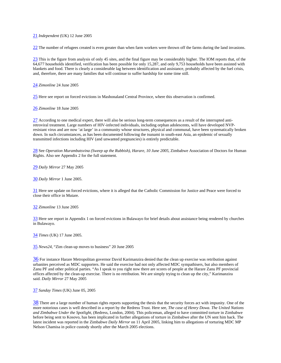#### 21 *Independent* (UK) 12 June 2005

22 The number of refugees created is even greater than when farm workers were thrown off the farms during the land invasions.

23 This is the figure from analysis of only 45 sites, and the final figure may be considerably higher. The IOM reports that, of the 64,677 households identified, verification has been possible for only 15,287, and only 9,753 households have been assisted with blankets and food. There is clearly a considerable lag between identification and assistance, probably affected by the fuel crisis, and, therefore, there are many families that will continue to suffer hardship for some time still.

24 *Zimonline* 24 June 2005

25 Here see report on forced evictions in Mashonaland Central Province, where this observation is confirmed.

26 *Zimonline* 18 June 2005

27 According to one medical expert, there will also be serious long-term consequences as a result of the interrupted antiretroviral treatment. Large numbers of HIV-infected individuals, including orphan adolescents, will have developed NVPresistant virus and are now 'at large' in a community whose structures, physical and communal, have been systematically broken down. In such circumstances, as has been documented following the tsunami in south-east Asia, an epidemic of sexually transmitted infections including HIV (and unwanted pregnancies) is entirely predictable.

28 See *Operation Murambatsvina (Sweep up the Rubbish), Harare, 10 June 2005*, Zimbabwe Association of Doctors for Human Rights. Also see Appendix 2 for the full statement.

29 *Daily Mirror* 27 May 2005

30 *Daily Mirror* 1 June 2005.

31 Here see update on forced evictions, where it is alleged that the Catholic Commission for Justice and Peace were forced to close their office in Mutare.

32 *Zimonline* 13 June 2005

33 Here see report in Appendix 1 on forced evictions in Bulawayo for brief details about assistance being rendered by churches in Bulawayo.

34 *Times* (UK) 17 June 2005.

35 *News24*, "Zim clean-up moves to business" 20 June 2005

36 For instance Harare Metropolitan governor David Karimanzira denied that the clean up exercise was retribution against urbanites perceived as MDC supporters. He said the exercise had not only affected MDC sympathisers, but also members of Zanu PF and other political parties. "As I speak to you right now there are scores of people at the Harare Zanu PF provincial offices affected by the clean-up exercise. There is no retribution. We are simply trying to clean up the city," Karimanzira said. *Daily Mirror* 27 May 2005

37 *Sunday Times* (UK) June 05, 2005

 $38$  There are a large number of human rights reports supporting the thesis that the security forces act with impunity. One of the more notorious cases is well described in a report by the Redress Trust. Here see*, The case of Henry Dowa. The United Nations and Zimbabwe Under the Spotlight,* (Redress, London, 2004)*.* This policeman, alleged to have committed torture in Zimbabwe before being sent to Kosovo, has been implicated in further allegations of torture in Zimbabwe after the UN sent him back. The latest incident was reported in the Zimbabwe *Daily Mirror* on 11 April 2005, linking him to allegations of torturing MDC MP Nelson Chamisa in police custody shortly after the March 2005 elections.